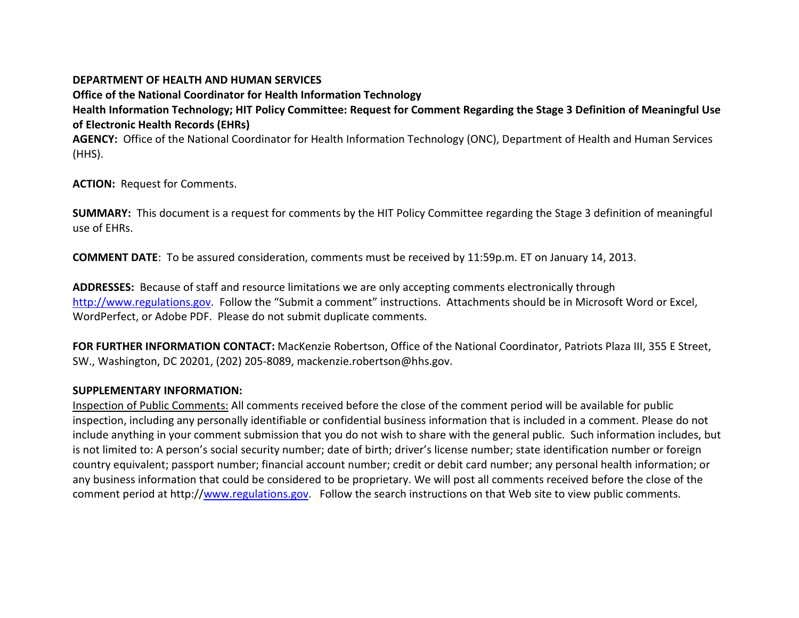#### **DEPARTMENT OF HEALTH AND HUMAN SERVICES**

**Office of the National Coordinator for Health Information Technology Health Information Technology; HIT Policy Committee: Request for Comment Regarding the Stage 3 Definition of Meaningful Use of Electronic Health Records (EHRs)**

**AGENCY:** Office of the National Coordinator for Health Information Technology (ONC), Department of Health and Human Services (HHS).

**ACTION:** Request for Comments.

**SUMMARY:** This document is a request for comments by the HIT Policy Committee regarding the Stage 3 definition of meaningful use of EHRs.

**COMMENT DATE**: To be assured consideration, comments must be received by 11:59p.m. ET on January 14, 2013.

**ADDRESSES:** Because of staff and resource limitations we are only accepting comments electronically through [http://www.regulations.gov.](http://www.regulations.gov/) Follow the "Submit a comment" instructions. Attachments should be in Microsoft Word or Excel, WordPerfect, or Adobe PDF. Please do not submit duplicate comments.

FOR FURTHER INFORMATION CONTACT: MacKenzie Robertson, Office of the National Coordinator, Patriots Plaza III, 355 E Street, SW., Washington, DC 20201, (202) 205-8089, mackenzie.robertson@hhs.gov.

### **SUPPLEMENTARY INFORMATION:**

Inspection of Public Comments: All comments received before the close of the comment period will be available for public inspection, including any personally identifiable or confidential business information that is included in a comment. Please do not include anything in your comment submission that you do not wish to share with the general public. Such information includes, but is not limited to: A person's social security number; date of birth; driver's license number; state identification number or foreign country equivalent; passport number; financial account number; credit or debit card number; any personal health information; or any business information that could be considered to be proprietary. We will post all comments received before the close of the comment period at http:/[/www.regulations.gov.](http://www.regulations.gov/) Follow the search instructions on that Web site to view public comments.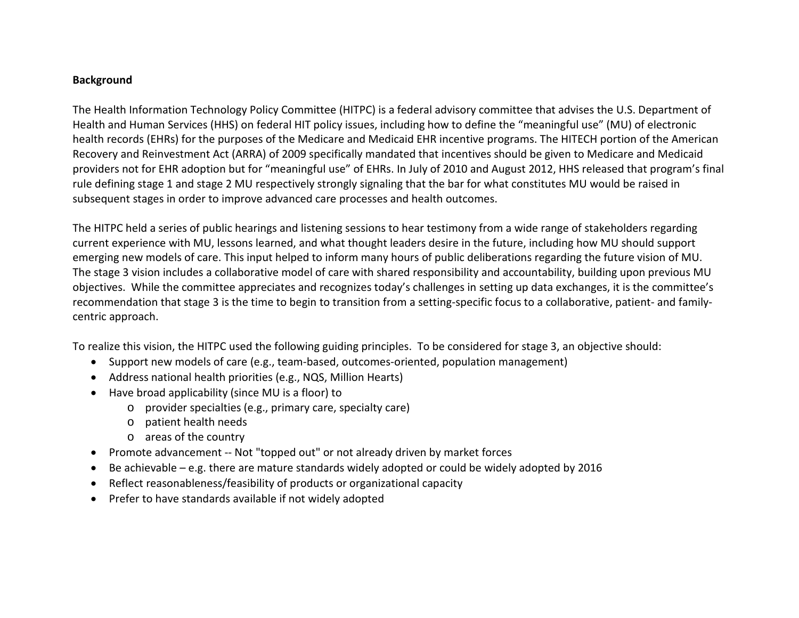## **Background**

The Health Information Technology Policy Committee (HITPC) is a federal advisory committee that advises the U.S. Department of Health and Human Services (HHS) on federal HIT policy issues, including how to define the "meaningful use" (MU) of electronic health records (EHRs) for the purposes of the Medicare and Medicaid EHR incentive programs. The HITECH portion of the American Recovery and Reinvestment Act (ARRA) of 2009 specifically mandated that incentives should be given to Medicare and Medicaid providers not for EHR adoption but for "meaningful use" of EHRs. In July of 2010 and August 2012, HHS released that program's final rule defining stage 1 and stage 2 MU respectively strongly signaling that the bar for what constitutes MU would be raised in subsequent stages in order to improve advanced care processes and health outcomes.

The HITPC held a series of public hearings and listening sessions to hear testimony from a wide range of stakeholders regarding current experience with MU, lessons learned, and what thought leaders desire in the future, including how MU should support emerging new models of care. This input helped to inform many hours of public deliberations regarding the future vision of MU. The stage 3 vision includes a collaborative model of care with shared responsibility and accountability, building upon previous MU objectives. While the committee appreciates and recognizes today's challenges in setting up data exchanges, it is the committee's recommendation that stage 3 is the time to begin to transition from a setting-specific focus to a collaborative, patient- and familycentric approach.

To realize this vision, the HITPC used the following guiding principles. To be considered for stage 3, an objective should:

- Support new models of care (e.g., team-based, outcomes-oriented, population management)
- Address national health priorities (e.g., NQS, Million Hearts)
- Have broad applicability (since MU is a floor) to
	- o provider specialties (e.g., primary care, specialty care)
	- o patient health needs
	- o areas of the country
- Promote advancement -- Not "topped out" or not already driven by market forces
- Be achievable e.g. there are mature standards widely adopted or could be widely adopted by 2016
- Reflect reasonableness/feasibility of products or organizational capacity
- Prefer to have standards available if not widely adopted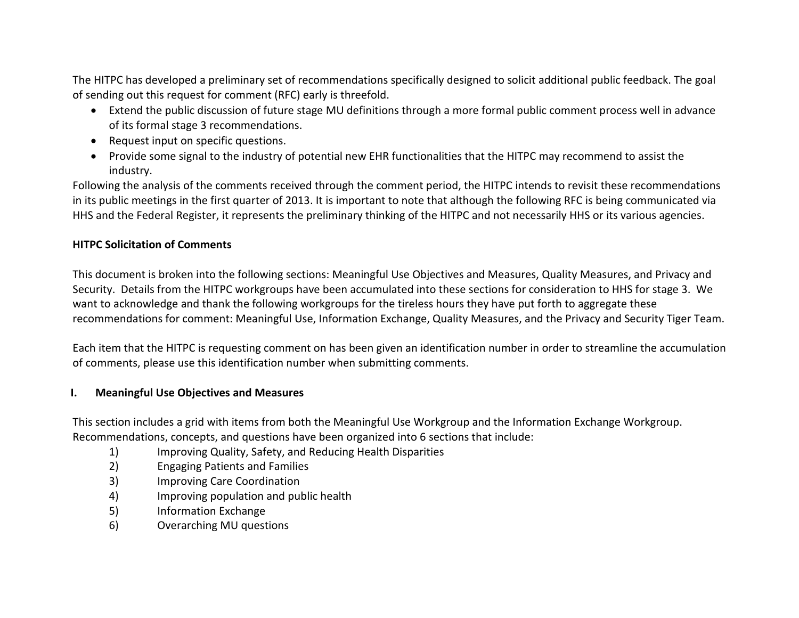The HITPC has developed a preliminary set of recommendations specifically designed to solicit additional public feedback. The goal of sending out this request for comment (RFC) early is threefold.

- Extend the public discussion of future stage MU definitions through a more formal public comment process well in advance of its formal stage 3 recommendations.
- Request input on specific questions.
- Provide some signal to the industry of potential new EHR functionalities that the HITPC may recommend to assist the industry.

Following the analysis of the comments received through the comment period, the HITPC intends to revisit these recommendations in its public meetings in the first quarter of 2013. It is important to note that although the following RFC is being communicated via HHS and the Federal Register, it represents the preliminary thinking of the HITPC and not necessarily HHS or its various agencies.

# **HITPC Solicitation of Comments**

This document is broken into the following sections: Meaningful Use Objectives and Measures, Quality Measures, and Privacy and Security. Details from the HITPC workgroups have been accumulated into these sections for consideration to HHS for stage 3. We want to acknowledge and thank the following workgroups for the tireless hours they have put forth to aggregate these recommendations for comment: Meaningful Use, Information Exchange, Quality Measures, and the Privacy and Security Tiger Team.

Each item that the HITPC is requesting comment on has been given an identification number in order to streamline the accumulation of comments, please use this identification number when submitting comments.

# **I. Meaningful Use Objectives and Measures**

This section includes a grid with items from both the Meaningful Use Workgroup and the Information Exchange Workgroup. Recommendations, concepts, and questions have been organized into 6 sections that include:

- 1) Improving Quality, Safety, and Reducing Health Disparities
- 2) Engaging Patients and Families
- 3) Improving Care Coordination
- 4) Improving population and public health
- 5) Information Exchange
- 6) Overarching MU questions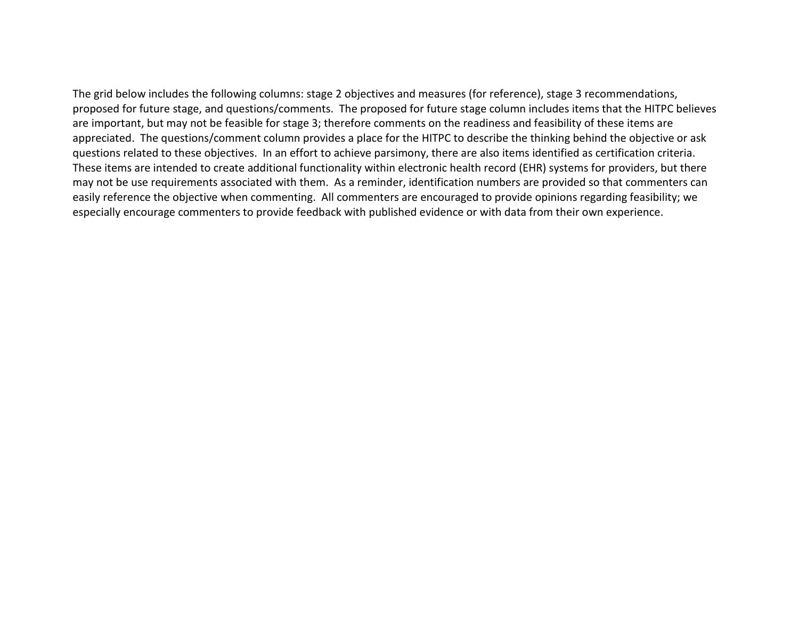The grid below includes the following columns: stage 2 objectives and measures (for reference), stage 3 recommendations, proposed for future stage, and questions/comments. The proposed for future stage column includes items that the HITPC believes are important, but may not be feasible for stage 3; therefore comments on the readiness and feasibility of these items are appreciated. The questions/comment column provides a place for the HITPC to describe the thinking behind the objective or ask questions related to these objectives. In an effort to achieve parsimony, there are also items identified as certification criteria. These items are intended to create additional functionality within electronic health record (EHR) systems for providers, but there may not be use requirements associated with them. As a reminder, identification numbers are provided so that commenters can easily reference the objective when commenting. All commenters are encouraged to provide opinions regarding feasibility; we especially encourage commenters to provide feedback with published evidence or with data from their own experience.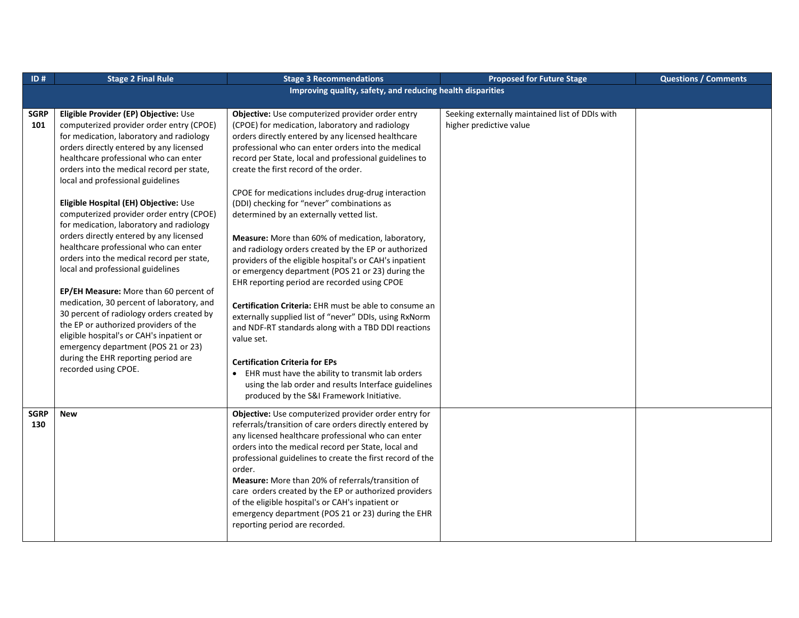| ID#                | <b>Stage 2 Final Rule</b>                                                                                                                                                                                                                                                                                                                                                                                                                                                                                                                                                                                                                                                                                                                                                                                                                                                                                                                  | <b>Stage 3 Recommendations</b>                                                                                                                                                                                                                                                                                                                                                                                                                                                                                                                                                                                                                                                                                                                                                                                                                                                                                                                                                                                                                                                                                                                | <b>Proposed for Future Stage</b>                                           | <b>Questions / Comments</b> |
|--------------------|--------------------------------------------------------------------------------------------------------------------------------------------------------------------------------------------------------------------------------------------------------------------------------------------------------------------------------------------------------------------------------------------------------------------------------------------------------------------------------------------------------------------------------------------------------------------------------------------------------------------------------------------------------------------------------------------------------------------------------------------------------------------------------------------------------------------------------------------------------------------------------------------------------------------------------------------|-----------------------------------------------------------------------------------------------------------------------------------------------------------------------------------------------------------------------------------------------------------------------------------------------------------------------------------------------------------------------------------------------------------------------------------------------------------------------------------------------------------------------------------------------------------------------------------------------------------------------------------------------------------------------------------------------------------------------------------------------------------------------------------------------------------------------------------------------------------------------------------------------------------------------------------------------------------------------------------------------------------------------------------------------------------------------------------------------------------------------------------------------|----------------------------------------------------------------------------|-----------------------------|
|                    |                                                                                                                                                                                                                                                                                                                                                                                                                                                                                                                                                                                                                                                                                                                                                                                                                                                                                                                                            | Improving quality, safety, and reducing health disparities                                                                                                                                                                                                                                                                                                                                                                                                                                                                                                                                                                                                                                                                                                                                                                                                                                                                                                                                                                                                                                                                                    |                                                                            |                             |
|                    |                                                                                                                                                                                                                                                                                                                                                                                                                                                                                                                                                                                                                                                                                                                                                                                                                                                                                                                                            |                                                                                                                                                                                                                                                                                                                                                                                                                                                                                                                                                                                                                                                                                                                                                                                                                                                                                                                                                                                                                                                                                                                                               |                                                                            |                             |
| <b>SGRP</b><br>101 | Eligible Provider (EP) Objective: Use<br>computerized provider order entry (CPOE)<br>for medication, laboratory and radiology<br>orders directly entered by any licensed<br>healthcare professional who can enter<br>orders into the medical record per state,<br>local and professional guidelines<br>Eligible Hospital (EH) Objective: Use<br>computerized provider order entry (CPOE)<br>for medication, laboratory and radiology<br>orders directly entered by any licensed<br>healthcare professional who can enter<br>orders into the medical record per state,<br>local and professional guidelines<br>EP/EH Measure: More than 60 percent of<br>medication, 30 percent of laboratory, and<br>30 percent of radiology orders created by<br>the EP or authorized providers of the<br>eligible hospital's or CAH's inpatient or<br>emergency department (POS 21 or 23)<br>during the EHR reporting period are<br>recorded using CPOE. | Objective: Use computerized provider order entry<br>(CPOE) for medication, laboratory and radiology<br>orders directly entered by any licensed healthcare<br>professional who can enter orders into the medical<br>record per State, local and professional guidelines to<br>create the first record of the order.<br>CPOE for medications includes drug-drug interaction<br>(DDI) checking for "never" combinations as<br>determined by an externally vetted list.<br>Measure: More than 60% of medication, laboratory,<br>and radiology orders created by the EP or authorized<br>providers of the eligible hospital's or CAH's inpatient<br>or emergency department (POS 21 or 23) during the<br>EHR reporting period are recorded using CPOE<br>Certification Criteria: EHR must be able to consume an<br>externally supplied list of "never" DDIs, using RxNorm<br>and NDF-RT standards along with a TBD DDI reactions<br>value set.<br><b>Certification Criteria for EPs</b><br>• EHR must have the ability to transmit lab orders<br>using the lab order and results Interface guidelines<br>produced by the S&I Framework Initiative. | Seeking externally maintained list of DDIs with<br>higher predictive value |                             |
| <b>SGRP</b><br>130 | <b>New</b>                                                                                                                                                                                                                                                                                                                                                                                                                                                                                                                                                                                                                                                                                                                                                                                                                                                                                                                                 | Objective: Use computerized provider order entry for<br>referrals/transition of care orders directly entered by<br>any licensed healthcare professional who can enter<br>orders into the medical record per State, local and<br>professional guidelines to create the first record of the<br>order.<br>Measure: More than 20% of referrals/transition of<br>care orders created by the EP or authorized providers<br>of the eligible hospital's or CAH's inpatient or<br>emergency department (POS 21 or 23) during the EHR<br>reporting period are recorded.                                                                                                                                                                                                                                                                                                                                                                                                                                                                                                                                                                                 |                                                                            |                             |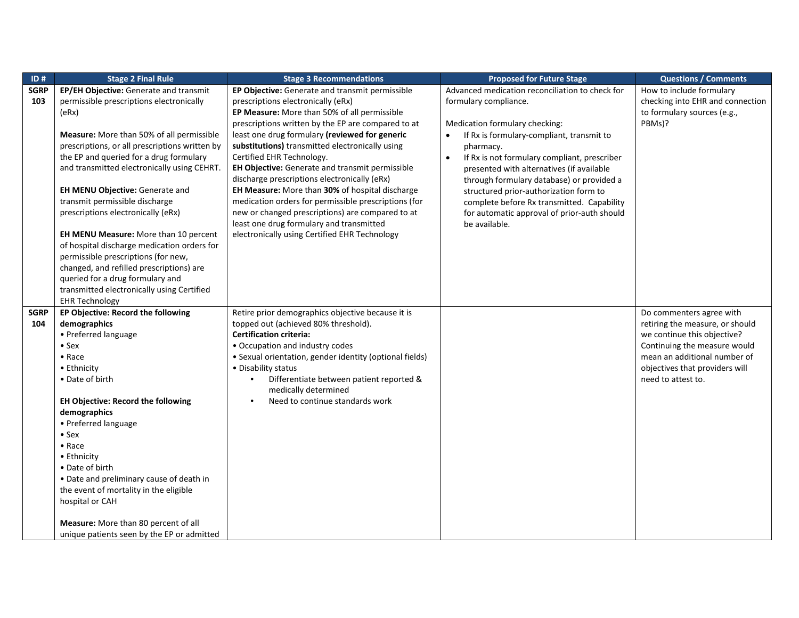| ID#         | <b>Stage 2 Final Rule</b>                      | <b>Stage 3 Recommendations</b>                          | <b>Proposed for Future Stage</b>                          | <b>Questions / Comments</b>      |
|-------------|------------------------------------------------|---------------------------------------------------------|-----------------------------------------------------------|----------------------------------|
| <b>SGRP</b> | EP/EH Objective: Generate and transmit         | EP Objective: Generate and transmit permissible         | Advanced medication reconciliation to check for           | How to include formulary         |
| 103         | permissible prescriptions electronically       | prescriptions electronically (eRx)                      | formulary compliance.                                     | checking into EHR and connection |
|             | (ex)                                           | EP Measure: More than 50% of all permissible            |                                                           | to formulary sources (e.g.,      |
|             |                                                | prescriptions written by the EP are compared to at      | Medication formulary checking:                            | PBMs)?                           |
|             | Measure: More than 50% of all permissible      | least one drug formulary (reviewed for generic          | If Rx is formulary-compliant, transmit to<br>$\bullet$    |                                  |
|             | prescriptions, or all prescriptions written by | substitutions) transmitted electronically using         | pharmacy.                                                 |                                  |
|             | the EP and queried for a drug formulary        | Certified EHR Technology.                               | If Rx is not formulary compliant, prescriber<br>$\bullet$ |                                  |
|             | and transmitted electronically using CEHRT.    | EH Objective: Generate and transmit permissible         | presented with alternatives (if available                 |                                  |
|             |                                                | discharge prescriptions electronically (eRx)            | through formulary database) or provided a                 |                                  |
|             | EH MENU Objective: Generate and                | EH Measure: More than 30% of hospital discharge         | structured prior-authorization form to                    |                                  |
|             | transmit permissible discharge                 | medication orders for permissible prescriptions (for    | complete before Rx transmitted. Capability                |                                  |
|             | prescriptions electronically (eRx)             | new or changed prescriptions) are compared to at        | for automatic approval of prior-auth should               |                                  |
|             |                                                | least one drug formulary and transmitted                | be available.                                             |                                  |
|             | EH MENU Measure: More than 10 percent          | electronically using Certified EHR Technology           |                                                           |                                  |
|             | of hospital discharge medication orders for    |                                                         |                                                           |                                  |
|             | permissible prescriptions (for new,            |                                                         |                                                           |                                  |
|             | changed, and refilled prescriptions) are       |                                                         |                                                           |                                  |
|             | queried for a drug formulary and               |                                                         |                                                           |                                  |
|             | transmitted electronically using Certified     |                                                         |                                                           |                                  |
|             | <b>EHR Technology</b>                          |                                                         |                                                           |                                  |
| <b>SGRP</b> | EP Objective: Record the following             | Retire prior demographics objective because it is       |                                                           | Do commenters agree with         |
| 104         | demographics                                   | topped out (achieved 80% threshold).                    |                                                           | retiring the measure, or should  |
|             | • Preferred language                           | <b>Certification criteria:</b>                          |                                                           | we continue this objective?      |
|             | $\bullet$ Sex                                  | • Occupation and industry codes                         |                                                           | Continuing the measure would     |
|             | $\bullet$ Race                                 | • Sexual orientation, gender identity (optional fields) |                                                           | mean an additional number of     |
|             | • Ethnicity                                    | • Disability status                                     |                                                           | objectives that providers will   |
|             | • Date of birth                                | Differentiate between patient reported &                |                                                           | need to attest to.               |
|             |                                                | medically determined                                    |                                                           |                                  |
|             | <b>EH Objective: Record the following</b>      | Need to continue standards work<br>$\bullet$            |                                                           |                                  |
|             | demographics                                   |                                                         |                                                           |                                  |
|             | • Preferred language                           |                                                         |                                                           |                                  |
|             | $•$ Sex                                        |                                                         |                                                           |                                  |
|             | $\bullet$ Race                                 |                                                         |                                                           |                                  |
|             | • Ethnicity                                    |                                                         |                                                           |                                  |
|             | • Date of birth                                |                                                         |                                                           |                                  |
|             | • Date and preliminary cause of death in       |                                                         |                                                           |                                  |
|             | the event of mortality in the eligible         |                                                         |                                                           |                                  |
|             | hospital or CAH                                |                                                         |                                                           |                                  |
|             | Measure: More than 80 percent of all           |                                                         |                                                           |                                  |
|             |                                                |                                                         |                                                           |                                  |
|             | unique patients seen by the EP or admitted     |                                                         |                                                           |                                  |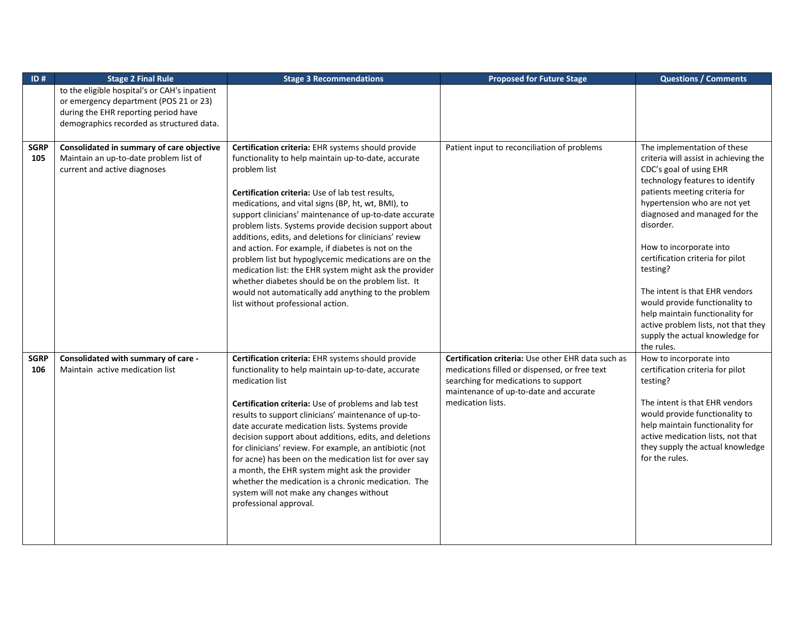| ID#                | <b>Stage 2 Final Rule</b>                                                                                           | <b>Stage 3 Recommendations</b>                                                                                                                                                                                                                                                                                                                                                                                                                                                                                                                                                                                                                                | <b>Proposed for Future Stage</b>                                                                                                                                                                           | <b>Questions / Comments</b>                                                                                                                                                                                                                                                                                                  |
|--------------------|---------------------------------------------------------------------------------------------------------------------|---------------------------------------------------------------------------------------------------------------------------------------------------------------------------------------------------------------------------------------------------------------------------------------------------------------------------------------------------------------------------------------------------------------------------------------------------------------------------------------------------------------------------------------------------------------------------------------------------------------------------------------------------------------|------------------------------------------------------------------------------------------------------------------------------------------------------------------------------------------------------------|------------------------------------------------------------------------------------------------------------------------------------------------------------------------------------------------------------------------------------------------------------------------------------------------------------------------------|
|                    | to the eligible hospital's or CAH's inpatient<br>or emergency department (POS 21 or 23)                             |                                                                                                                                                                                                                                                                                                                                                                                                                                                                                                                                                                                                                                                               |                                                                                                                                                                                                            |                                                                                                                                                                                                                                                                                                                              |
|                    | during the EHR reporting period have                                                                                |                                                                                                                                                                                                                                                                                                                                                                                                                                                                                                                                                                                                                                                               |                                                                                                                                                                                                            |                                                                                                                                                                                                                                                                                                                              |
|                    | demographics recorded as structured data.                                                                           |                                                                                                                                                                                                                                                                                                                                                                                                                                                                                                                                                                                                                                                               |                                                                                                                                                                                                            |                                                                                                                                                                                                                                                                                                                              |
|                    |                                                                                                                     |                                                                                                                                                                                                                                                                                                                                                                                                                                                                                                                                                                                                                                                               |                                                                                                                                                                                                            |                                                                                                                                                                                                                                                                                                                              |
| <b>SGRP</b><br>105 | Consolidated in summary of care objective<br>Maintain an up-to-date problem list of<br>current and active diagnoses | Certification criteria: EHR systems should provide<br>functionality to help maintain up-to-date, accurate<br>problem list<br><b>Certification criteria:</b> Use of lab test results,<br>medications, and vital signs (BP, ht, wt, BMI), to<br>support clinicians' maintenance of up-to-date accurate<br>problem lists. Systems provide decision support about<br>additions, edits, and deletions for clinicians' review<br>and action. For example, if diabetes is not on the<br>problem list but hypoglycemic medications are on the<br>medication list: the EHR system might ask the provider                                                               | Patient input to reconciliation of problems                                                                                                                                                                | The implementation of these<br>criteria will assist in achieving the<br>CDC's goal of using EHR<br>technology features to identify<br>patients meeting criteria for<br>hypertension who are not yet<br>diagnosed and managed for the<br>disorder.<br>How to incorporate into<br>certification criteria for pilot<br>testing? |
|                    |                                                                                                                     | whether diabetes should be on the problem list. It<br>would not automatically add anything to the problem<br>list without professional action.                                                                                                                                                                                                                                                                                                                                                                                                                                                                                                                |                                                                                                                                                                                                            | The intent is that EHR vendors<br>would provide functionality to<br>help maintain functionality for<br>active problem lists, not that they<br>supply the actual knowledge for<br>the rules.                                                                                                                                  |
| <b>SGRP</b><br>106 | Consolidated with summary of care -<br>Maintain active medication list                                              | Certification criteria: EHR systems should provide<br>functionality to help maintain up-to-date, accurate<br>medication list<br>Certification criteria: Use of problems and lab test<br>results to support clinicians' maintenance of up-to-<br>date accurate medication lists. Systems provide<br>decision support about additions, edits, and deletions<br>for clinicians' review. For example, an antibiotic (not<br>for acne) has been on the medication list for over say<br>a month, the EHR system might ask the provider<br>whether the medication is a chronic medication. The<br>system will not make any changes without<br>professional approval. | Certification criteria: Use other EHR data such as<br>medications filled or dispensed, or free text<br>searching for medications to support<br>maintenance of up-to-date and accurate<br>medication lists. | How to incorporate into<br>certification criteria for pilot<br>testing?<br>The intent is that EHR vendors<br>would provide functionality to<br>help maintain functionality for<br>active medication lists, not that<br>they supply the actual knowledge<br>for the rules.                                                    |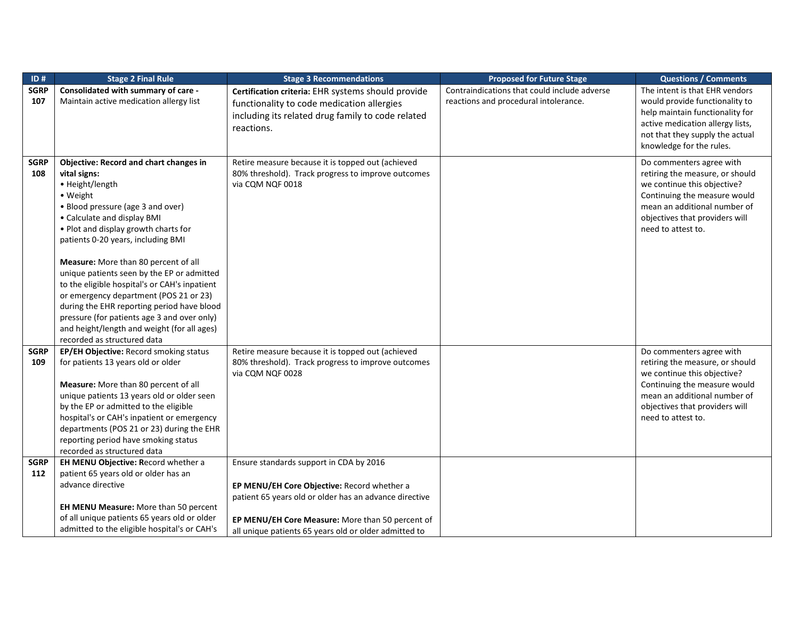| ID#         | <b>Stage 2 Final Rule</b>                     | <b>Stage 3 Recommendations</b>                         | <b>Proposed for Future Stage</b>             | <b>Questions / Comments</b>      |
|-------------|-----------------------------------------------|--------------------------------------------------------|----------------------------------------------|----------------------------------|
| <b>SGRP</b> | Consolidated with summary of care -           | Certification criteria: EHR systems should provide     | Contraindications that could include adverse | The intent is that EHR vendors   |
| 107         | Maintain active medication allergy list       | functionality to code medication allergies             | reactions and procedural intolerance.        | would provide functionality to   |
|             |                                               | including its related drug family to code related      |                                              | help maintain functionality for  |
|             |                                               | reactions.                                             |                                              | active medication allergy lists, |
|             |                                               |                                                        |                                              | not that they supply the actual  |
|             |                                               |                                                        |                                              | knowledge for the rules.         |
| <b>SGRP</b> | <b>Objective: Record and chart changes in</b> | Retire measure because it is topped out (achieved      |                                              | Do commenters agree with         |
| 108         | vital signs:                                  | 80% threshold). Track progress to improve outcomes     |                                              | retiring the measure, or should  |
|             | • Height/length                               | via CQM NQF 0018                                       |                                              | we continue this objective?      |
|             | • Weight                                      |                                                        |                                              | Continuing the measure would     |
|             | • Blood pressure (age 3 and over)             |                                                        |                                              | mean an additional number of     |
|             | • Calculate and display BMI                   |                                                        |                                              | objectives that providers will   |
|             | . Plot and display growth charts for          |                                                        |                                              | need to attest to.               |
|             | patients 0-20 years, including BMI            |                                                        |                                              |                                  |
|             | Measure: More than 80 percent of all          |                                                        |                                              |                                  |
|             | unique patients seen by the EP or admitted    |                                                        |                                              |                                  |
|             | to the eligible hospital's or CAH's inpatient |                                                        |                                              |                                  |
|             | or emergency department (POS 21 or 23)        |                                                        |                                              |                                  |
|             | during the EHR reporting period have blood    |                                                        |                                              |                                  |
|             | pressure (for patients age 3 and over only)   |                                                        |                                              |                                  |
|             | and height/length and weight (for all ages)   |                                                        |                                              |                                  |
|             | recorded as structured data                   |                                                        |                                              |                                  |
| <b>SGRP</b> | EP/EH Objective: Record smoking status        | Retire measure because it is topped out (achieved      |                                              | Do commenters agree with         |
| 109         | for patients 13 years old or older            | 80% threshold). Track progress to improve outcomes     |                                              | retiring the measure, or should  |
|             |                                               | via CQM NQF 0028                                       |                                              | we continue this objective?      |
|             | Measure: More than 80 percent of all          |                                                        |                                              | Continuing the measure would     |
|             | unique patients 13 years old or older seen    |                                                        |                                              | mean an additional number of     |
|             | by the EP or admitted to the eligible         |                                                        |                                              | objectives that providers will   |
|             | hospital's or CAH's inpatient or emergency    |                                                        |                                              | need to attest to.               |
|             | departments (POS 21 or 23) during the EHR     |                                                        |                                              |                                  |
|             | reporting period have smoking status          |                                                        |                                              |                                  |
|             | recorded as structured data                   |                                                        |                                              |                                  |
| <b>SGRP</b> | EH MENU Objective: Record whether a           | Ensure standards support in CDA by 2016                |                                              |                                  |
| 112         | patient 65 years old or older has an          |                                                        |                                              |                                  |
|             | advance directive                             | EP MENU/EH Core Objective: Record whether a            |                                              |                                  |
|             |                                               | patient 65 years old or older has an advance directive |                                              |                                  |
|             | EH MENU Measure: More than 50 percent         |                                                        |                                              |                                  |
|             | of all unique patients 65 years old or older  | EP MENU/EH Core Measure: More than 50 percent of       |                                              |                                  |
|             | admitted to the eligible hospital's or CAH's  | all unique patients 65 years old or older admitted to  |                                              |                                  |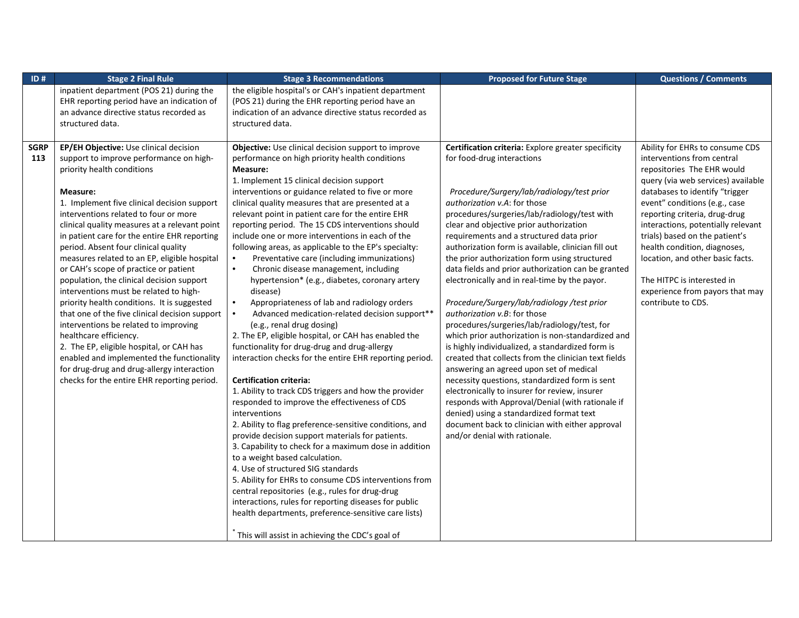| ID#         | <b>Stage 2 Final Rule</b>                      | <b>Stage 3 Recommendations</b>                              | <b>Proposed for Future Stage</b>                     | <b>Questions / Comments</b>        |
|-------------|------------------------------------------------|-------------------------------------------------------------|------------------------------------------------------|------------------------------------|
|             | inpatient department (POS 21) during the       | the eligible hospital's or CAH's inpatient department       |                                                      |                                    |
|             | EHR reporting period have an indication of     | (POS 21) during the EHR reporting period have an            |                                                      |                                    |
|             | an advance directive status recorded as        | indication of an advance directive status recorded as       |                                                      |                                    |
|             | structured data.                               | structured data.                                            |                                                      |                                    |
|             |                                                |                                                             |                                                      |                                    |
| <b>SGRP</b> | EP/EH Objective: Use clinical decision         | Objective: Use clinical decision support to improve         | Certification criteria: Explore greater specificity  | Ability for EHRs to consume CDS    |
| 113         | support to improve performance on high-        | performance on high priority health conditions              | for food-drug interactions                           | interventions from central         |
|             | priority health conditions                     | Measure:                                                    |                                                      | repositories The EHR would         |
|             |                                                | 1. Implement 15 clinical decision support                   |                                                      | query (via web services) available |
|             | Measure:                                       | interventions or guidance related to five or more           | Procedure/Surgery/lab/radiology/test prior           | databases to identify "trigger     |
|             | 1. Implement five clinical decision support    | clinical quality measures that are presented at a           | authorization v.A: for those                         | event" conditions (e.g., case      |
|             | interventions related to four or more          | relevant point in patient care for the entire EHR           | procedures/surgeries/lab/radiology/test with         | reporting criteria, drug-drug      |
|             | clinical quality measures at a relevant point  | reporting period. The 15 CDS interventions should           | clear and objective prior authorization              | interactions, potentially relevant |
|             | in patient care for the entire EHR reporting   | include one or more interventions in each of the            | requirements and a structured data prior             | trials) based on the patient's     |
|             | period. Absent four clinical quality           | following areas, as applicable to the EP's specialty:       | authorization form is available, clinician fill out  | health condition, diagnoses,       |
|             | measures related to an EP, eligible hospital   | $\bullet$<br>Preventative care (including immunizations)    | the prior authorization form using structured        | location, and other basic facts.   |
|             | or CAH's scope of practice or patient          | $\bullet$<br>Chronic disease management, including          | data fields and prior authorization can be granted   |                                    |
|             | population, the clinical decision support      | hypertension* (e.g., diabetes, coronary artery              | electronically and in real-time by the payor.        | The HITPC is interested in         |
|             | interventions must be related to high-         | disease)                                                    |                                                      | experience from payors that may    |
|             | priority health conditions. It is suggested    | $\bullet$<br>Appropriateness of lab and radiology orders    | Procedure/Surgery/lab/radiology/test prior           | contribute to CDS.                 |
|             | that one of the five clinical decision support | Advanced medication-related decision support**<br>$\bullet$ | authorization v.B: for those                         |                                    |
|             | interventions be related to improving          | (e.g., renal drug dosing)                                   | procedures/surgeries/lab/radiology/test, for         |                                    |
|             | healthcare efficiency.                         | 2. The EP, eligible hospital, or CAH has enabled the        | which prior authorization is non-standardized and    |                                    |
|             | 2. The EP, eligible hospital, or CAH has       | functionality for drug-drug and drug-allergy                | is highly individualized, a standardized form is     |                                    |
|             | enabled and implemented the functionality      | interaction checks for the entire EHR reporting period.     | created that collects from the clinician text fields |                                    |
|             | for drug-drug and drug-allergy interaction     |                                                             | answering an agreed upon set of medical              |                                    |
|             | checks for the entire EHR reporting period.    | <b>Certification criteria:</b>                              | necessity questions, standardized form is sent       |                                    |
|             |                                                | 1. Ability to track CDS triggers and how the provider       | electronically to insurer for review, insurer        |                                    |
|             |                                                | responded to improve the effectiveness of CDS               | responds with Approval/Denial (with rationale if     |                                    |
|             |                                                | interventions                                               | denied) using a standardized format text             |                                    |
|             |                                                | 2. Ability to flag preference-sensitive conditions, and     | document back to clinician with either approval      |                                    |
|             |                                                | provide decision support materials for patients.            | and/or denial with rationale.                        |                                    |
|             |                                                | 3. Capability to check for a maximum dose in addition       |                                                      |                                    |
|             |                                                | to a weight based calculation.                              |                                                      |                                    |
|             |                                                | 4. Use of structured SIG standards                          |                                                      |                                    |
|             |                                                | 5. Ability for EHRs to consume CDS interventions from       |                                                      |                                    |
|             |                                                | central repositories (e.g., rules for drug-drug             |                                                      |                                    |
|             |                                                | interactions, rules for reporting diseases for public       |                                                      |                                    |
|             |                                                | health departments, preference-sensitive care lists)        |                                                      |                                    |
|             |                                                |                                                             |                                                      |                                    |
|             |                                                | This will assist in achieving the CDC's goal of             |                                                      |                                    |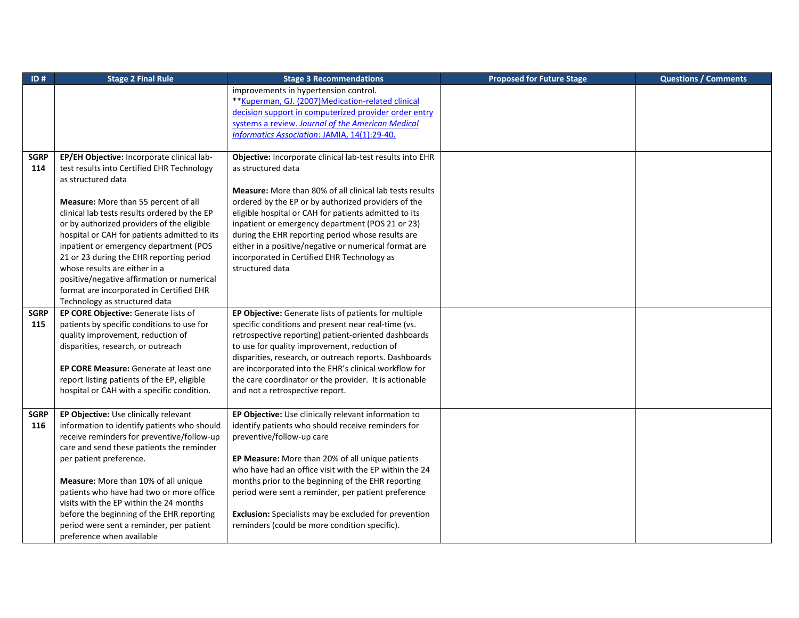| ID#         | <b>Stage 2 Final Rule</b>                    | <b>Stage 3 Recommendations</b>                                  | <b>Proposed for Future Stage</b> | <b>Questions / Comments</b> |
|-------------|----------------------------------------------|-----------------------------------------------------------------|----------------------------------|-----------------------------|
|             |                                              | improvements in hypertension control.                           |                                  |                             |
|             |                                              | ** Kuperman, GJ. (2007) Medication-related clinical             |                                  |                             |
|             |                                              | decision support in computerized provider order entry           |                                  |                             |
|             |                                              | systems a review. Journal of the American Medical               |                                  |                             |
|             |                                              | Informatics Association: JAMIA, 14(1):29-40.                    |                                  |                             |
|             |                                              |                                                                 |                                  |                             |
| <b>SGRP</b> | EP/EH Objective: Incorporate clinical lab-   | Objective: Incorporate clinical lab-test results into EHR       |                                  |                             |
| 114         | test results into Certified EHR Technology   | as structured data                                              |                                  |                             |
|             | as structured data                           |                                                                 |                                  |                             |
|             |                                              | <b>Measure:</b> More than 80% of all clinical lab tests results |                                  |                             |
|             | Measure: More than 55 percent of all         | ordered by the EP or by authorized providers of the             |                                  |                             |
|             | clinical lab tests results ordered by the EP | eligible hospital or CAH for patients admitted to its           |                                  |                             |
|             | or by authorized providers of the eligible   | inpatient or emergency department (POS 21 or 23)                |                                  |                             |
|             | hospital or CAH for patients admitted to its | during the EHR reporting period whose results are               |                                  |                             |
|             | inpatient or emergency department (POS       | either in a positive/negative or numerical format are           |                                  |                             |
|             | 21 or 23 during the EHR reporting period     | incorporated in Certified EHR Technology as                     |                                  |                             |
|             | whose results are either in a                | structured data                                                 |                                  |                             |
|             | positive/negative affirmation or numerical   |                                                                 |                                  |                             |
|             | format are incorporated in Certified EHR     |                                                                 |                                  |                             |
|             | Technology as structured data                |                                                                 |                                  |                             |
| <b>SGRP</b> | EP CORE Objective: Generate lists of         | EP Objective: Generate lists of patients for multiple           |                                  |                             |
| 115         | patients by specific conditions to use for   | specific conditions and present near real-time (vs.             |                                  |                             |
|             | quality improvement, reduction of            | retrospective reporting) patient-oriented dashboards            |                                  |                             |
|             | disparities, research, or outreach           | to use for quality improvement, reduction of                    |                                  |                             |
|             |                                              | disparities, research, or outreach reports. Dashboards          |                                  |                             |
|             | EP CORE Measure: Generate at least one       | are incorporated into the EHR's clinical workflow for           |                                  |                             |
|             | report listing patients of the EP, eligible  | the care coordinator or the provider. It is actionable          |                                  |                             |
|             | hospital or CAH with a specific condition.   | and not a retrospective report.                                 |                                  |                             |
|             |                                              |                                                                 |                                  |                             |
| <b>SGRP</b> | EP Objective: Use clinically relevant        | EP Objective: Use clinically relevant information to            |                                  |                             |
| 116         | information to identify patients who should  | identify patients who should receive reminders for              |                                  |                             |
|             | receive reminders for preventive/follow-up   | preventive/follow-up care                                       |                                  |                             |
|             | care and send these patients the reminder    |                                                                 |                                  |                             |
|             | per patient preference.                      | EP Measure: More than 20% of all unique patients                |                                  |                             |
|             |                                              | who have had an office visit with the EP within the 24          |                                  |                             |
|             | Measure: More than 10% of all unique         | months prior to the beginning of the EHR reporting              |                                  |                             |
|             | patients who have had two or more office     | period were sent a reminder, per patient preference             |                                  |                             |
|             | visits with the EP within the 24 months      |                                                                 |                                  |                             |
|             | before the beginning of the EHR reporting    | Exclusion: Specialists may be excluded for prevention           |                                  |                             |
|             | period were sent a reminder, per patient     | reminders (could be more condition specific).                   |                                  |                             |
|             | preference when available                    |                                                                 |                                  |                             |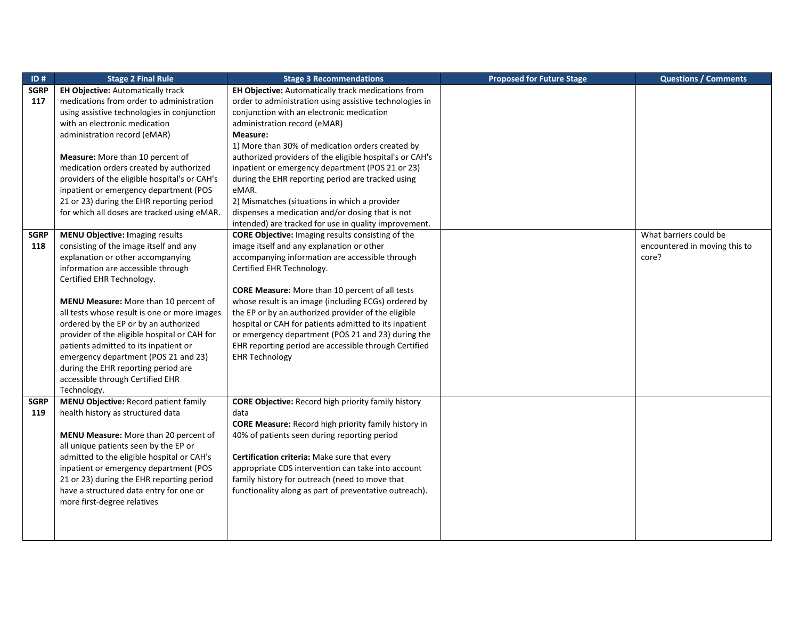| ID#         | <b>Stage 2 Final Rule</b>                                              | <b>Stage 3 Recommendations</b>                              | <b>Proposed for Future Stage</b> | <b>Questions / Comments</b>   |
|-------------|------------------------------------------------------------------------|-------------------------------------------------------------|----------------------------------|-------------------------------|
| <b>SGRP</b> | <b>EH Objective: Automatically track</b>                               | <b>EH Objective:</b> Automatically track medications from   |                                  |                               |
| 117         | medications from order to administration                               | order to administration using assistive technologies in     |                                  |                               |
|             | using assistive technologies in conjunction                            | conjunction with an electronic medication                   |                                  |                               |
|             | with an electronic medication                                          | administration record (eMAR)                                |                                  |                               |
|             | administration record (eMAR)                                           | Measure:                                                    |                                  |                               |
|             |                                                                        | 1) More than 30% of medication orders created by            |                                  |                               |
|             | <b>Measure:</b> More than 10 percent of                                | authorized providers of the eligible hospital's or CAH's    |                                  |                               |
|             | medication orders created by authorized                                | inpatient or emergency department (POS 21 or 23)            |                                  |                               |
|             | providers of the eligible hospital's or CAH's                          | during the EHR reporting period are tracked using           |                                  |                               |
|             | inpatient or emergency department (POS                                 | eMAR.                                                       |                                  |                               |
|             | 21 or 23) during the EHR reporting period                              | 2) Mismatches (situations in which a provider               |                                  |                               |
|             | for which all doses are tracked using eMAR.                            | dispenses a medication and/or dosing that is not            |                                  |                               |
|             |                                                                        | intended) are tracked for use in quality improvement.       |                                  |                               |
| SGRP        | <b>MENU Objective: Imaging results</b>                                 | <b>CORE Objective:</b> Imaging results consisting of the    |                                  | What barriers could be        |
| 118         | consisting of the image itself and any                                 | image itself and any explanation or other                   |                                  | encountered in moving this to |
|             | explanation or other accompanying                                      | accompanying information are accessible through             |                                  | core?                         |
|             | information are accessible through                                     | Certified EHR Technology.                                   |                                  |                               |
|             | Certified EHR Technology.                                              |                                                             |                                  |                               |
|             |                                                                        | <b>CORE Measure:</b> More than 10 percent of all tests      |                                  |                               |
|             | <b>MENU Measure:</b> More than 10 percent of                           | whose result is an image (including ECGs) ordered by        |                                  |                               |
|             | all tests whose result is one or more images                           | the EP or by an authorized provider of the eligible         |                                  |                               |
|             | ordered by the EP or by an authorized                                  | hospital or CAH for patients admitted to its inpatient      |                                  |                               |
|             | provider of the eligible hospital or CAH for                           | or emergency department (POS 21 and 23) during the          |                                  |                               |
|             | patients admitted to its inpatient or                                  | EHR reporting period are accessible through Certified       |                                  |                               |
|             | emergency department (POS 21 and 23)                                   | <b>EHR Technology</b>                                       |                                  |                               |
|             | during the EHR reporting period are                                    |                                                             |                                  |                               |
|             | accessible through Certified EHR                                       |                                                             |                                  |                               |
|             | Technology.                                                            |                                                             |                                  |                               |
| SGRP        | MENU Objective: Record patient family                                  | <b>CORE Objective:</b> Record high priority family history  |                                  |                               |
| 119         | health history as structured data                                      | data                                                        |                                  |                               |
|             |                                                                        | <b>CORE Measure:</b> Record high priority family history in |                                  |                               |
|             | MENU Measure: More than 20 percent of                                  | 40% of patients seen during reporting period                |                                  |                               |
|             | all unique patients seen by the EP or                                  |                                                             |                                  |                               |
|             | admitted to the eligible hospital or CAH's                             | Certification criteria: Make sure that every                |                                  |                               |
|             | inpatient or emergency department (POS                                 | appropriate CDS intervention can take into account          |                                  |                               |
|             | 21 or 23) during the EHR reporting period                              | family history for outreach (need to move that              |                                  |                               |
|             | have a structured data entry for one or<br>more first-degree relatives | functionality along as part of preventative outreach).      |                                  |                               |
|             |                                                                        |                                                             |                                  |                               |
|             |                                                                        |                                                             |                                  |                               |
|             |                                                                        |                                                             |                                  |                               |
|             |                                                                        |                                                             |                                  |                               |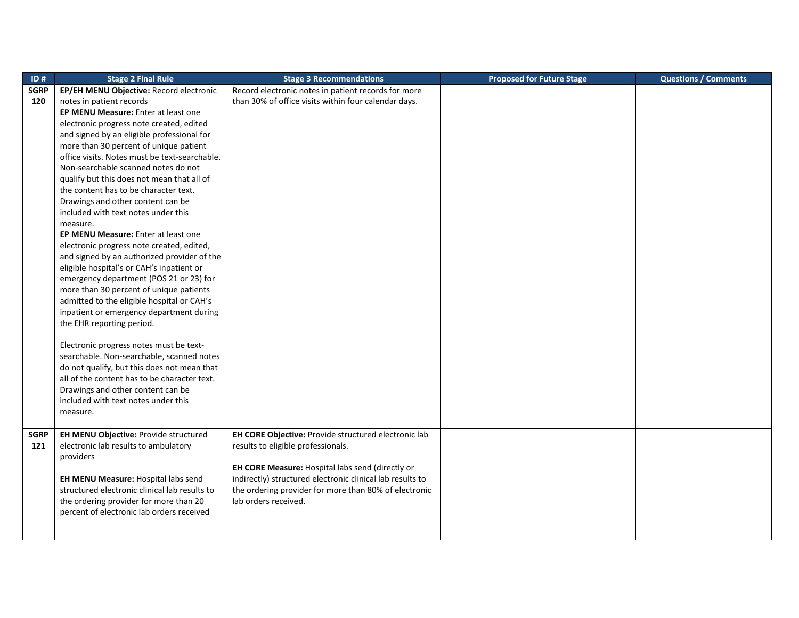| ID#         | <b>Stage 2 Final Rule</b>                       | <b>Stage 3 Recommendations</b>                            | <b>Proposed for Future Stage</b> | <b>Questions / Comments</b> |
|-------------|-------------------------------------------------|-----------------------------------------------------------|----------------------------------|-----------------------------|
| <b>SGRP</b> | EP/EH MENU Objective: Record electronic         | Record electronic notes in patient records for more       |                                  |                             |
| 120         | notes in patient records                        | than 30% of office visits within four calendar days.      |                                  |                             |
|             | EP MENU Measure: Enter at least one             |                                                           |                                  |                             |
|             | electronic progress note created, edited        |                                                           |                                  |                             |
|             | and signed by an eligible professional for      |                                                           |                                  |                             |
|             | more than 30 percent of unique patient          |                                                           |                                  |                             |
|             | office visits. Notes must be text-searchable.   |                                                           |                                  |                             |
|             | Non-searchable scanned notes do not             |                                                           |                                  |                             |
|             | qualify but this does not mean that all of      |                                                           |                                  |                             |
|             | the content has to be character text.           |                                                           |                                  |                             |
|             | Drawings and other content can be               |                                                           |                                  |                             |
|             | included with text notes under this             |                                                           |                                  |                             |
|             | measure.                                        |                                                           |                                  |                             |
|             | EP MENU Measure: Enter at least one             |                                                           |                                  |                             |
|             | electronic progress note created, edited,       |                                                           |                                  |                             |
|             | and signed by an authorized provider of the     |                                                           |                                  |                             |
|             | eligible hospital's or CAH's inpatient or       |                                                           |                                  |                             |
|             | emergency department (POS 21 or 23) for         |                                                           |                                  |                             |
|             | more than 30 percent of unique patients         |                                                           |                                  |                             |
|             | admitted to the eligible hospital or CAH's      |                                                           |                                  |                             |
|             | inpatient or emergency department during        |                                                           |                                  |                             |
|             | the EHR reporting period.                       |                                                           |                                  |                             |
|             |                                                 |                                                           |                                  |                             |
|             | Electronic progress notes must be text-         |                                                           |                                  |                             |
|             | searchable. Non-searchable, scanned notes       |                                                           |                                  |                             |
|             | do not qualify, but this does not mean that     |                                                           |                                  |                             |
|             | all of the content has to be character text.    |                                                           |                                  |                             |
|             | Drawings and other content can be               |                                                           |                                  |                             |
|             | included with text notes under this<br>measure. |                                                           |                                  |                             |
|             |                                                 |                                                           |                                  |                             |
| <b>SGRP</b> | EH MENU Objective: Provide structured           | EH CORE Objective: Provide structured electronic lab      |                                  |                             |
| 121         | electronic lab results to ambulatory            | results to eligible professionals.                        |                                  |                             |
|             | providers                                       |                                                           |                                  |                             |
|             |                                                 | EH CORE Measure: Hospital labs send (directly or          |                                  |                             |
|             | EH MENU Measure: Hospital labs send             | indirectly) structured electronic clinical lab results to |                                  |                             |
|             | structured electronic clinical lab results to   | the ordering provider for more than 80% of electronic     |                                  |                             |
|             | the ordering provider for more than 20          | lab orders received.                                      |                                  |                             |
|             | percent of electronic lab orders received       |                                                           |                                  |                             |
|             |                                                 |                                                           |                                  |                             |
|             |                                                 |                                                           |                                  |                             |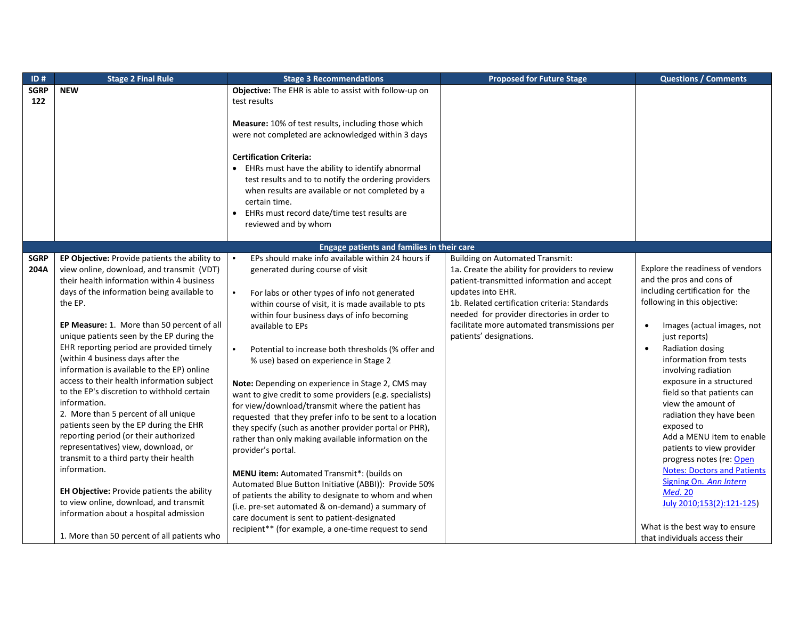| ID#                | <b>Stage 2 Final Rule</b>                                                                                                                                                                                                                                                                                                                                                                                                                                                                                                                                                                                                                                                                                                                                                                                                                                                                           | <b>Stage 3 Recommendations</b>                                                                                                                                                                                                                                                                                                                                                                                                                                                                                                                                                                                                                                                                                                                                                                                                                                                                                                                                                                                 | <b>Proposed for Future Stage</b>                                                                                                                                                                                                                                                            | <b>Questions / Comments</b>                                                                                                                                                                                                                                                                                                                                                                                                                                                                                                                                                                                                                                                     |
|--------------------|-----------------------------------------------------------------------------------------------------------------------------------------------------------------------------------------------------------------------------------------------------------------------------------------------------------------------------------------------------------------------------------------------------------------------------------------------------------------------------------------------------------------------------------------------------------------------------------------------------------------------------------------------------------------------------------------------------------------------------------------------------------------------------------------------------------------------------------------------------------------------------------------------------|----------------------------------------------------------------------------------------------------------------------------------------------------------------------------------------------------------------------------------------------------------------------------------------------------------------------------------------------------------------------------------------------------------------------------------------------------------------------------------------------------------------------------------------------------------------------------------------------------------------------------------------------------------------------------------------------------------------------------------------------------------------------------------------------------------------------------------------------------------------------------------------------------------------------------------------------------------------------------------------------------------------|---------------------------------------------------------------------------------------------------------------------------------------------------------------------------------------------------------------------------------------------------------------------------------------------|---------------------------------------------------------------------------------------------------------------------------------------------------------------------------------------------------------------------------------------------------------------------------------------------------------------------------------------------------------------------------------------------------------------------------------------------------------------------------------------------------------------------------------------------------------------------------------------------------------------------------------------------------------------------------------|
| <b>SGRP</b><br>122 | <b>NEW</b>                                                                                                                                                                                                                                                                                                                                                                                                                                                                                                                                                                                                                                                                                                                                                                                                                                                                                          | Objective: The EHR is able to assist with follow-up on<br>test results                                                                                                                                                                                                                                                                                                                                                                                                                                                                                                                                                                                                                                                                                                                                                                                                                                                                                                                                         |                                                                                                                                                                                                                                                                                             |                                                                                                                                                                                                                                                                                                                                                                                                                                                                                                                                                                                                                                                                                 |
|                    |                                                                                                                                                                                                                                                                                                                                                                                                                                                                                                                                                                                                                                                                                                                                                                                                                                                                                                     | Measure: 10% of test results, including those which<br>were not completed are acknowledged within 3 days<br><b>Certification Criteria:</b><br>• EHRs must have the ability to identify abnormal<br>test results and to to notify the ordering providers<br>when results are available or not completed by a<br>certain time.<br>EHRs must record date/time test results are<br>$\bullet$<br>reviewed and by whom                                                                                                                                                                                                                                                                                                                                                                                                                                                                                                                                                                                               |                                                                                                                                                                                                                                                                                             |                                                                                                                                                                                                                                                                                                                                                                                                                                                                                                                                                                                                                                                                                 |
|                    |                                                                                                                                                                                                                                                                                                                                                                                                                                                                                                                                                                                                                                                                                                                                                                                                                                                                                                     | Engage patients and families in their care                                                                                                                                                                                                                                                                                                                                                                                                                                                                                                                                                                                                                                                                                                                                                                                                                                                                                                                                                                     |                                                                                                                                                                                                                                                                                             |                                                                                                                                                                                                                                                                                                                                                                                                                                                                                                                                                                                                                                                                                 |
| <b>SGRP</b>        | EP Objective: Provide patients the ability to                                                                                                                                                                                                                                                                                                                                                                                                                                                                                                                                                                                                                                                                                                                                                                                                                                                       | EPs should make info available within 24 hours if                                                                                                                                                                                                                                                                                                                                                                                                                                                                                                                                                                                                                                                                                                                                                                                                                                                                                                                                                              | <b>Building on Automated Transmit:</b>                                                                                                                                                                                                                                                      |                                                                                                                                                                                                                                                                                                                                                                                                                                                                                                                                                                                                                                                                                 |
| 204A               | view online, download, and transmit (VDT)<br>their health information within 4 business<br>days of the information being available to<br>the EP.<br>EP Measure: 1. More than 50 percent of all<br>unique patients seen by the EP during the<br>EHR reporting period are provided timely<br>(within 4 business days after the<br>information is available to the EP) online<br>access to their health information subject<br>to the EP's discretion to withhold certain<br>information.<br>2. More than 5 percent of all unique<br>patients seen by the EP during the EHR<br>reporting period (or their authorized<br>representatives) view, download, or<br>transmit to a third party their health<br>information.<br>EH Objective: Provide patients the ability<br>to view online, download, and transmit<br>information about a hospital admission<br>1. More than 50 percent of all patients who | generated during course of visit<br>For labs or other types of info not generated<br>within course of visit, it is made available to pts<br>within four business days of info becoming<br>available to EPs<br>Potential to increase both thresholds (% offer and<br>% use) based on experience in Stage 2<br>Note: Depending on experience in Stage 2, CMS may<br>want to give credit to some providers (e.g. specialists)<br>for view/download/transmit where the patient has<br>requested that they prefer info to be sent to a location<br>they specify (such as another provider portal or PHR),<br>rather than only making available information on the<br>provider's portal.<br>MENU item: Automated Transmit*: (builds on<br>Automated Blue Button Initiative (ABBI)): Provide 50%<br>of patients the ability to designate to whom and when<br>(i.e. pre-set automated & on-demand) a summary of<br>care document is sent to patient-designated<br>recipient** (for example, a one-time request to send | 1a. Create the ability for providers to review<br>patient-transmitted information and accept<br>updates into EHR.<br>1b. Related certification criteria: Standards<br>needed for provider directories in order to<br>facilitate more automated transmissions per<br>patients' designations. | Explore the readiness of vendors<br>and the pros and cons of<br>including certification for the<br>following in this objective:<br>Images (actual images, not<br>$\bullet$<br>just reports)<br>Radiation dosing<br>$\bullet$<br>information from tests<br>involving radiation<br>exposure in a structured<br>field so that patients can<br>view the amount of<br>radiation they have been<br>exposed to<br>Add a MENU item to enable<br>patients to view provider<br>progress notes (re: Open<br><b>Notes: Doctors and Patients</b><br>Signing On. Ann Intern<br><b>Med. 20</b><br>July 2010;153(2):121-125)<br>What is the best way to ensure<br>that individuals access their |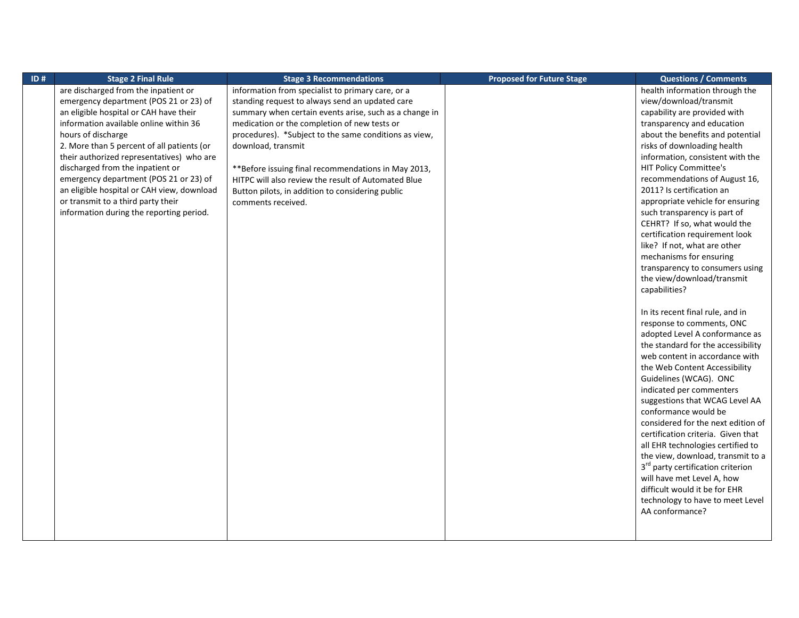| $\overline{1D}$ # | <b>Stage 2 Final Rule</b>                  | <b>Stage 3 Recommendations</b>                         | <b>Proposed for Future Stage</b> | <b>Questions / Comments</b>                   |
|-------------------|--------------------------------------------|--------------------------------------------------------|----------------------------------|-----------------------------------------------|
|                   | are discharged from the inpatient or       | information from specialist to primary care, or a      |                                  | health information through the                |
|                   | emergency department (POS 21 or 23) of     | standing request to always send an updated care        |                                  | view/download/transmit                        |
|                   | an eligible hospital or CAH have their     | summary when certain events arise, such as a change in |                                  | capability are provided with                  |
|                   | information available online within 36     | medication or the completion of new tests or           |                                  | transparency and education                    |
|                   | hours of discharge                         | procedures). *Subject to the same conditions as view,  |                                  | about the benefits and potential              |
|                   | 2. More than 5 percent of all patients (or | download, transmit                                     |                                  | risks of downloading health                   |
|                   | their authorized representatives) who are  |                                                        |                                  | information, consistent with the              |
|                   | discharged from the inpatient or           | **Before issuing final recommendations in May 2013,    |                                  | HIT Policy Committee's                        |
|                   | emergency department (POS 21 or 23) of     | HITPC will also review the result of Automated Blue    |                                  | recommendations of August 16,                 |
|                   | an eligible hospital or CAH view, download | Button pilots, in addition to considering public       |                                  | 2011? Is certification an                     |
|                   | or transmit to a third party their         | comments received.                                     |                                  | appropriate vehicle for ensuring              |
|                   | information during the reporting period.   |                                                        |                                  | such transparency is part of                  |
|                   |                                            |                                                        |                                  | CEHRT? If so, what would the                  |
|                   |                                            |                                                        |                                  | certification requirement look                |
|                   |                                            |                                                        |                                  | like? If not, what are other                  |
|                   |                                            |                                                        |                                  | mechanisms for ensuring                       |
|                   |                                            |                                                        |                                  | transparency to consumers using               |
|                   |                                            |                                                        |                                  | the view/download/transmit                    |
|                   |                                            |                                                        |                                  | capabilities?                                 |
|                   |                                            |                                                        |                                  |                                               |
|                   |                                            |                                                        |                                  | In its recent final rule, and in              |
|                   |                                            |                                                        |                                  | response to comments, ONC                     |
|                   |                                            |                                                        |                                  | adopted Level A conformance as                |
|                   |                                            |                                                        |                                  | the standard for the accessibility            |
|                   |                                            |                                                        |                                  | web content in accordance with                |
|                   |                                            |                                                        |                                  | the Web Content Accessibility                 |
|                   |                                            |                                                        |                                  | Guidelines (WCAG). ONC                        |
|                   |                                            |                                                        |                                  | indicated per commenters                      |
|                   |                                            |                                                        |                                  | suggestions that WCAG Level AA                |
|                   |                                            |                                                        |                                  | conformance would be                          |
|                   |                                            |                                                        |                                  | considered for the next edition of            |
|                   |                                            |                                                        |                                  | certification criteria. Given that            |
|                   |                                            |                                                        |                                  | all EHR technologies certified to             |
|                   |                                            |                                                        |                                  | the view, download, transmit to a             |
|                   |                                            |                                                        |                                  | 3 <sup>rd</sup> party certification criterion |
|                   |                                            |                                                        |                                  | will have met Level A, how                    |
|                   |                                            |                                                        |                                  | difficult would it be for EHR                 |
|                   |                                            |                                                        |                                  | technology to have to meet Level              |
|                   |                                            |                                                        |                                  | AA conformance?                               |
|                   |                                            |                                                        |                                  |                                               |
|                   |                                            |                                                        |                                  |                                               |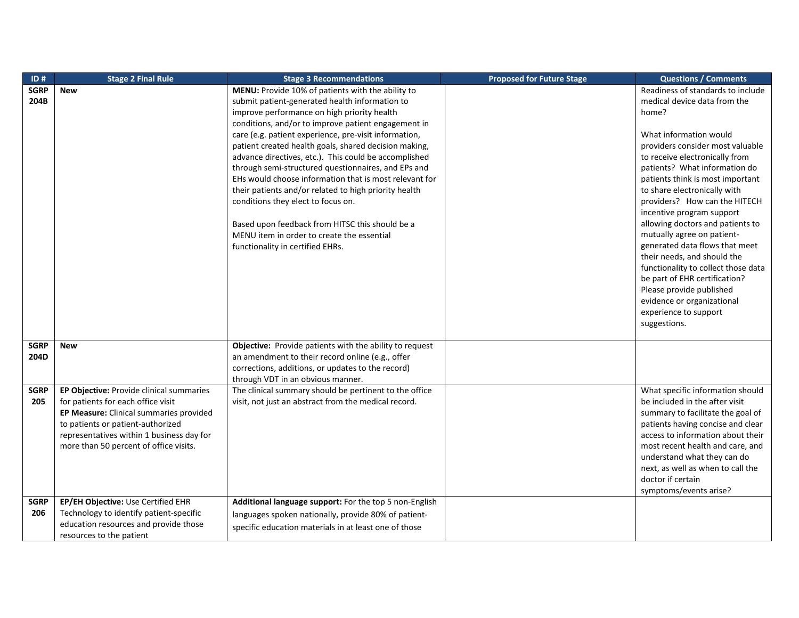| ID#         | <b>Stage 2 Final Rule</b>                 | <b>Stage 3 Recommendations</b>                                                                              | <b>Proposed for Future Stage</b> | <b>Questions / Comments</b>         |
|-------------|-------------------------------------------|-------------------------------------------------------------------------------------------------------------|----------------------------------|-------------------------------------|
| <b>SGRP</b> | <b>New</b>                                | MENU: Provide 10% of patients with the ability to                                                           |                                  | Readiness of standards to include   |
| 204B        |                                           | submit patient-generated health information to                                                              |                                  | medical device data from the        |
|             |                                           | improve performance on high priority health                                                                 |                                  | home?                               |
|             |                                           | conditions, and/or to improve patient engagement in                                                         |                                  |                                     |
|             |                                           | care (e.g. patient experience, pre-visit information,                                                       |                                  | What information would              |
|             |                                           | patient created health goals, shared decision making,                                                       |                                  | providers consider most valuable    |
|             |                                           | advance directives, etc.). This could be accomplished                                                       |                                  | to receive electronically from      |
|             |                                           | through semi-structured questionnaires, and EPs and                                                         |                                  | patients? What information do       |
|             |                                           | EHs would choose information that is most relevant for                                                      |                                  | patients think is most important    |
|             |                                           | their patients and/or related to high priority health                                                       |                                  | to share electronically with        |
|             |                                           | conditions they elect to focus on.                                                                          |                                  | providers? How can the HITECH       |
|             |                                           |                                                                                                             |                                  | incentive program support           |
|             |                                           | Based upon feedback from HITSC this should be a                                                             |                                  | allowing doctors and patients to    |
|             |                                           | MENU item in order to create the essential                                                                  |                                  | mutually agree on patient-          |
|             |                                           | functionality in certified EHRs.                                                                            |                                  | generated data flows that meet      |
|             |                                           |                                                                                                             |                                  | their needs, and should the         |
|             |                                           |                                                                                                             |                                  | functionality to collect those data |
|             |                                           |                                                                                                             |                                  | be part of EHR certification?       |
|             |                                           |                                                                                                             |                                  | Please provide published            |
|             |                                           |                                                                                                             |                                  | evidence or organizational          |
|             |                                           |                                                                                                             |                                  | experience to support               |
|             |                                           |                                                                                                             |                                  | suggestions.                        |
| <b>SGRP</b> |                                           |                                                                                                             |                                  |                                     |
| 204D        | <b>New</b>                                | Objective: Provide patients with the ability to request<br>an amendment to their record online (e.g., offer |                                  |                                     |
|             |                                           | corrections, additions, or updates to the record)                                                           |                                  |                                     |
|             |                                           | through VDT in an obvious manner.                                                                           |                                  |                                     |
| <b>SGRP</b> | EP Objective: Provide clinical summaries  | The clinical summary should be pertinent to the office                                                      |                                  | What specific information should    |
| 205         | for patients for each office visit        | visit, not just an abstract from the medical record.                                                        |                                  | be included in the after visit      |
|             | EP Measure: Clinical summaries provided   |                                                                                                             |                                  | summary to facilitate the goal of   |
|             | to patients or patient-authorized         |                                                                                                             |                                  | patients having concise and clear   |
|             | representatives within 1 business day for |                                                                                                             |                                  | access to information about their   |
|             | more than 50 percent of office visits.    |                                                                                                             |                                  | most recent health and care, and    |
|             |                                           |                                                                                                             |                                  | understand what they can do         |
|             |                                           |                                                                                                             |                                  | next, as well as when to call the   |
|             |                                           |                                                                                                             |                                  | doctor if certain                   |
|             |                                           |                                                                                                             |                                  | symptoms/events arise?              |
| <b>SGRP</b> | EP/EH Objective: Use Certified EHR        | Additional language support: For the top 5 non-English                                                      |                                  |                                     |
| 206         | Technology to identify patient-specific   | languages spoken nationally, provide 80% of patient-                                                        |                                  |                                     |
|             | education resources and provide those     |                                                                                                             |                                  |                                     |
|             | resources to the patient                  | specific education materials in at least one of those                                                       |                                  |                                     |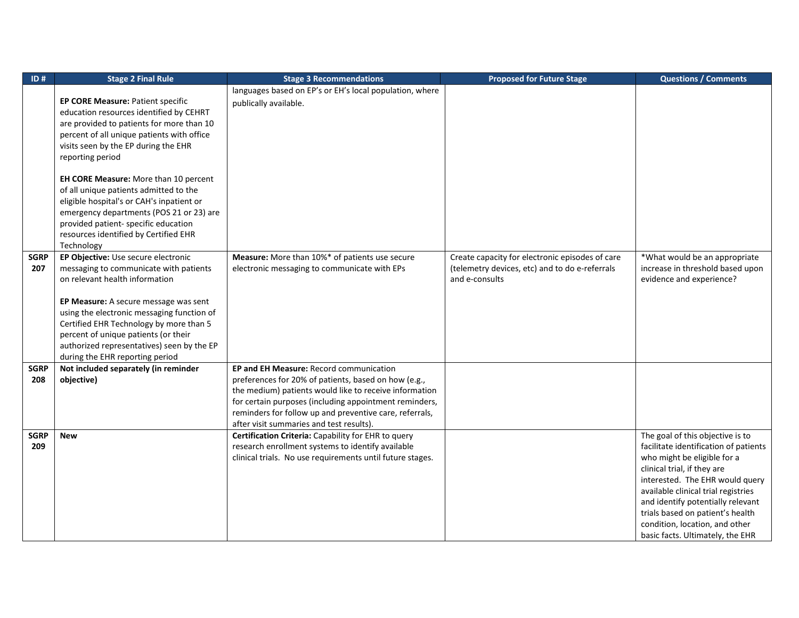| ID#         | <b>Stage 2 Final Rule</b>                    | <b>Stage 3 Recommendations</b>                            | <b>Proposed for Future Stage</b>                | <b>Questions / Comments</b>           |
|-------------|----------------------------------------------|-----------------------------------------------------------|-------------------------------------------------|---------------------------------------|
|             |                                              | languages based on EP's or EH's local population, where   |                                                 |                                       |
|             | EP CORE Measure: Patient specific            | publically available.                                     |                                                 |                                       |
|             | education resources identified by CEHRT      |                                                           |                                                 |                                       |
|             | are provided to patients for more than 10    |                                                           |                                                 |                                       |
|             | percent of all unique patients with office   |                                                           |                                                 |                                       |
|             | visits seen by the EP during the EHR         |                                                           |                                                 |                                       |
|             | reporting period                             |                                                           |                                                 |                                       |
|             |                                              |                                                           |                                                 |                                       |
|             | <b>EH CORE Measure:</b> More than 10 percent |                                                           |                                                 |                                       |
|             | of all unique patients admitted to the       |                                                           |                                                 |                                       |
|             | eligible hospital's or CAH's inpatient or    |                                                           |                                                 |                                       |
|             | emergency departments (POS 21 or 23) are     |                                                           |                                                 |                                       |
|             | provided patient- specific education         |                                                           |                                                 |                                       |
|             | resources identified by Certified EHR        |                                                           |                                                 |                                       |
|             | Technology                                   |                                                           |                                                 |                                       |
| <b>SGRP</b> | EP Objective: Use secure electronic          | Measure: More than 10%* of patients use secure            | Create capacity for electronic episodes of care | *What would be an appropriate         |
| 207         | messaging to communicate with patients       | electronic messaging to communicate with EPs              | (telemetry devices, etc) and to do e-referrals  | increase in threshold based upon      |
|             | on relevant health information               |                                                           | and e-consults                                  | evidence and experience?              |
|             |                                              |                                                           |                                                 |                                       |
|             | EP Measure: A secure message was sent        |                                                           |                                                 |                                       |
|             | using the electronic messaging function of   |                                                           |                                                 |                                       |
|             | Certified EHR Technology by more than 5      |                                                           |                                                 |                                       |
|             | percent of unique patients (or their         |                                                           |                                                 |                                       |
|             | authorized representatives) seen by the EP   |                                                           |                                                 |                                       |
|             | during the EHR reporting period              |                                                           |                                                 |                                       |
| <b>SGRP</b> | Not included separately (in reminder         | EP and EH Measure: Record communication                   |                                                 |                                       |
| 208         | objective)                                   | preferences for 20% of patients, based on how (e.g.,      |                                                 |                                       |
|             |                                              | the medium) patients would like to receive information    |                                                 |                                       |
|             |                                              | for certain purposes (including appointment reminders,    |                                                 |                                       |
|             |                                              | reminders for follow up and preventive care, referrals,   |                                                 |                                       |
|             |                                              | after visit summaries and test results).                  |                                                 |                                       |
| <b>SGRP</b> | <b>New</b>                                   | Certification Criteria: Capability for EHR to query       |                                                 | The goal of this objective is to      |
| 209         |                                              | research enrollment systems to identify available         |                                                 | facilitate identification of patients |
|             |                                              | clinical trials. No use requirements until future stages. |                                                 | who might be eligible for a           |
|             |                                              |                                                           |                                                 | clinical trial, if they are           |
|             |                                              |                                                           |                                                 | interested. The EHR would query       |
|             |                                              |                                                           |                                                 | available clinical trial registries   |
|             |                                              |                                                           |                                                 | and identify potentially relevant     |
|             |                                              |                                                           |                                                 | trials based on patient's health      |
|             |                                              |                                                           |                                                 | condition, location, and other        |
|             |                                              |                                                           |                                                 | basic facts. Ultimately, the EHR      |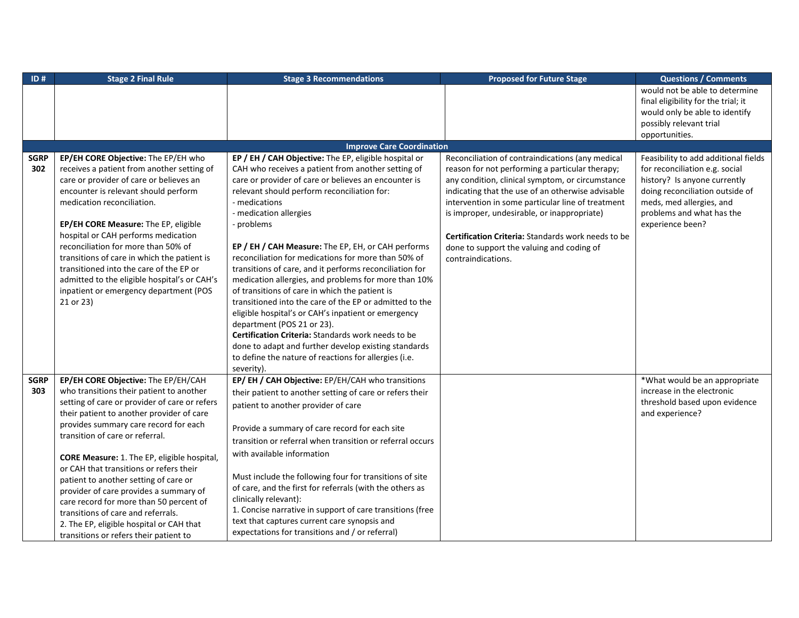| ID#                | <b>Stage 2 Final Rule</b>                                                          | <b>Stage 3 Recommendations</b>                                                            | <b>Proposed for Future Stage</b>                                                                    | <b>Questions / Comments</b>          |
|--------------------|------------------------------------------------------------------------------------|-------------------------------------------------------------------------------------------|-----------------------------------------------------------------------------------------------------|--------------------------------------|
|                    |                                                                                    |                                                                                           |                                                                                                     | would not be able to determine       |
|                    |                                                                                    |                                                                                           |                                                                                                     | final eligibility for the trial; it  |
|                    |                                                                                    |                                                                                           |                                                                                                     | would only be able to identify       |
|                    |                                                                                    |                                                                                           |                                                                                                     | possibly relevant trial              |
|                    |                                                                                    |                                                                                           |                                                                                                     | opportunities.                       |
|                    |                                                                                    | <b>Improve Care Coordination</b><br>EP / EH / CAH Objective: The EP, eligible hospital or |                                                                                                     | Feasibility to add additional fields |
| <b>SGRP</b><br>302 | EP/EH CORE Objective: The EP/EH who<br>receives a patient from another setting of  | CAH who receives a patient from another setting of                                        | Reconciliation of contraindications (any medical<br>reason for not performing a particular therapy; | for reconciliation e.g. social       |
|                    | care or provider of care or believes an                                            | care or provider of care or believes an encounter is                                      | any condition, clinical symptom, or circumstance                                                    | history? Is anyone currently         |
|                    | encounter is relevant should perform                                               | relevant should perform reconciliation for:                                               | indicating that the use of an otherwise advisable                                                   | doing reconciliation outside of      |
|                    | medication reconciliation.                                                         | - medications                                                                             | intervention in some particular line of treatment                                                   | meds, med allergies, and             |
|                    |                                                                                    | - medication allergies                                                                    | is improper, undesirable, or inappropriate)                                                         | problems and what has the            |
|                    | EP/EH CORE Measure: The EP, eligible                                               | - problems                                                                                |                                                                                                     | experience been?                     |
|                    | hospital or CAH performs medication                                                |                                                                                           | Certification Criteria: Standards work needs to be                                                  |                                      |
|                    | reconciliation for more than 50% of                                                | EP / EH / CAH Measure: The EP, EH, or CAH performs                                        | done to support the valuing and coding of                                                           |                                      |
|                    | transitions of care in which the patient is                                        | reconciliation for medications for more than 50% of                                       | contraindications.                                                                                  |                                      |
|                    | transitioned into the care of the EP or                                            | transitions of care, and it performs reconciliation for                                   |                                                                                                     |                                      |
|                    | admitted to the eligible hospital's or CAH's                                       | medication allergies, and problems for more than 10%                                      |                                                                                                     |                                      |
|                    | inpatient or emergency department (POS                                             | of transitions of care in which the patient is                                            |                                                                                                     |                                      |
|                    | 21 or 23)                                                                          | transitioned into the care of the EP or admitted to the                                   |                                                                                                     |                                      |
|                    |                                                                                    | eligible hospital's or CAH's inpatient or emergency                                       |                                                                                                     |                                      |
|                    |                                                                                    | department (POS 21 or 23).                                                                |                                                                                                     |                                      |
|                    |                                                                                    | Certification Criteria: Standards work needs to be                                        |                                                                                                     |                                      |
|                    |                                                                                    | done to adapt and further develop existing standards                                      |                                                                                                     |                                      |
|                    |                                                                                    | to define the nature of reactions for allergies (i.e.                                     |                                                                                                     |                                      |
|                    |                                                                                    | severity).                                                                                |                                                                                                     |                                      |
| <b>SGRP</b>        | EP/EH CORE Objective: The EP/EH/CAH                                                | EP/ EH / CAH Objective: EP/EH/CAH who transitions                                         |                                                                                                     | *What would be an appropriate        |
| 303                | who transitions their patient to another                                           | their patient to another setting of care or refers their                                  |                                                                                                     | increase in the electronic           |
|                    | setting of care or provider of care or refers                                      | patient to another provider of care                                                       |                                                                                                     | threshold based upon evidence        |
|                    | their patient to another provider of care<br>provides summary care record for each |                                                                                           |                                                                                                     | and experience?                      |
|                    | transition of care or referral.                                                    | Provide a summary of care record for each site                                            |                                                                                                     |                                      |
|                    |                                                                                    | transition or referral when transition or referral occurs                                 |                                                                                                     |                                      |
|                    | CORE Measure: 1. The EP, eligible hospital,                                        | with available information                                                                |                                                                                                     |                                      |
|                    | or CAH that transitions or refers their                                            |                                                                                           |                                                                                                     |                                      |
|                    | patient to another setting of care or                                              | Must include the following four for transitions of site                                   |                                                                                                     |                                      |
|                    | provider of care provides a summary of                                             | of care, and the first for referrals (with the others as                                  |                                                                                                     |                                      |
|                    | care record for more than 50 percent of                                            | clinically relevant):                                                                     |                                                                                                     |                                      |
|                    | transitions of care and referrals.                                                 | 1. Concise narrative in support of care transitions (free                                 |                                                                                                     |                                      |
|                    | 2. The EP, eligible hospital or CAH that                                           | text that captures current care synopsis and                                              |                                                                                                     |                                      |
|                    | transitions or refers their patient to                                             | expectations for transitions and / or referral)                                           |                                                                                                     |                                      |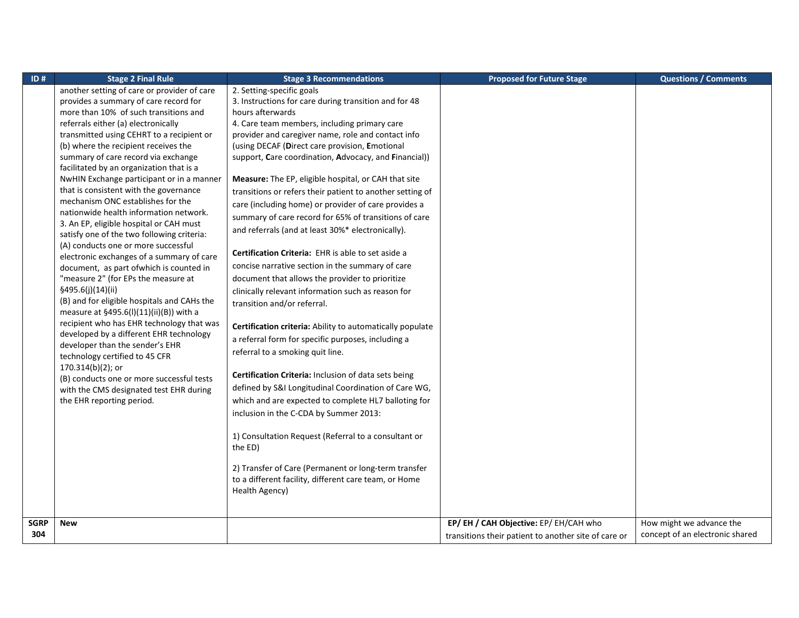| ID#         | <b>Stage 2 Final Rule</b>                                                            | <b>Stage 3 Recommendations</b>                                                     | <b>Proposed for Future Stage</b>                     | <b>Questions / Comments</b>     |
|-------------|--------------------------------------------------------------------------------------|------------------------------------------------------------------------------------|------------------------------------------------------|---------------------------------|
|             | another setting of care or provider of care<br>provides a summary of care record for | 2. Setting-specific goals<br>3. Instructions for care during transition and for 48 |                                                      |                                 |
|             | more than 10% of such transitions and                                                | hours afterwards                                                                   |                                                      |                                 |
|             | referrals either (a) electronically                                                  | 4. Care team members, including primary care                                       |                                                      |                                 |
|             | transmitted using CEHRT to a recipient or                                            | provider and caregiver name, role and contact info                                 |                                                      |                                 |
|             | (b) where the recipient receives the                                                 | (using DECAF (Direct care provision, Emotional                                     |                                                      |                                 |
|             | summary of care record via exchange                                                  | support, Care coordination, Advocacy, and Financial))                              |                                                      |                                 |
|             | facilitated by an organization that is a                                             |                                                                                    |                                                      |                                 |
|             | NwHIN Exchange participant or in a manner                                            | Measure: The EP, eligible hospital, or CAH that site                               |                                                      |                                 |
|             | that is consistent with the governance                                               | transitions or refers their patient to another setting of                          |                                                      |                                 |
|             | mechanism ONC establishes for the                                                    | care (including home) or provider of care provides a                               |                                                      |                                 |
|             | nationwide health information network.                                               | summary of care record for 65% of transitions of care                              |                                                      |                                 |
|             | 3. An EP, eligible hospital or CAH must                                              | and referrals (and at least 30%* electronically).                                  |                                                      |                                 |
|             | satisfy one of the two following criteria:<br>(A) conducts one or more successful    |                                                                                    |                                                      |                                 |
|             | electronic exchanges of a summary of care                                            | Certification Criteria: EHR is able to set aside a                                 |                                                      |                                 |
|             | document, as part of which is counted in                                             | concise narrative section in the summary of care                                   |                                                      |                                 |
|             | "measure 2" (for EPs the measure at                                                  | document that allows the provider to prioritize                                    |                                                      |                                 |
|             | §495.6(j)(14)(ii)                                                                    | clinically relevant information such as reason for                                 |                                                      |                                 |
|             | (B) and for eligible hospitals and CAHs the                                          | transition and/or referral.                                                        |                                                      |                                 |
|             | measure at §495.6(I)(11)(ii)(B)) with a                                              |                                                                                    |                                                      |                                 |
|             | recipient who has EHR technology that was                                            | Certification criteria: Ability to automatically populate                          |                                                      |                                 |
|             | developed by a different EHR technology<br>developer than the sender's EHR           | a referral form for specific purposes, including a                                 |                                                      |                                 |
|             | technology certified to 45 CFR                                                       | referral to a smoking quit line.                                                   |                                                      |                                 |
|             | 170.314(b)(2); or                                                                    |                                                                                    |                                                      |                                 |
|             | (B) conducts one or more successful tests                                            | Certification Criteria: Inclusion of data sets being                               |                                                      |                                 |
|             | with the CMS designated test EHR during                                              | defined by S&I Longitudinal Coordination of Care WG,                               |                                                      |                                 |
|             | the EHR reporting period.                                                            | which and are expected to complete HL7 balloting for                               |                                                      |                                 |
|             |                                                                                      | inclusion in the C-CDA by Summer 2013:                                             |                                                      |                                 |
|             |                                                                                      | 1) Consultation Request (Referral to a consultant or                               |                                                      |                                 |
|             |                                                                                      | the ED)                                                                            |                                                      |                                 |
|             |                                                                                      |                                                                                    |                                                      |                                 |
|             |                                                                                      | 2) Transfer of Care (Permanent or long-term transfer                               |                                                      |                                 |
|             |                                                                                      | to a different facility, different care team, or Home                              |                                                      |                                 |
|             |                                                                                      | Health Agency)                                                                     |                                                      |                                 |
|             |                                                                                      |                                                                                    |                                                      |                                 |
| <b>SGRP</b> | <b>New</b>                                                                           |                                                                                    | EP/ EH / CAH Objective: EP/ EH/CAH who               | How might we advance the        |
| 304         |                                                                                      |                                                                                    | transitions their patient to another site of care or | concept of an electronic shared |
|             |                                                                                      |                                                                                    |                                                      |                                 |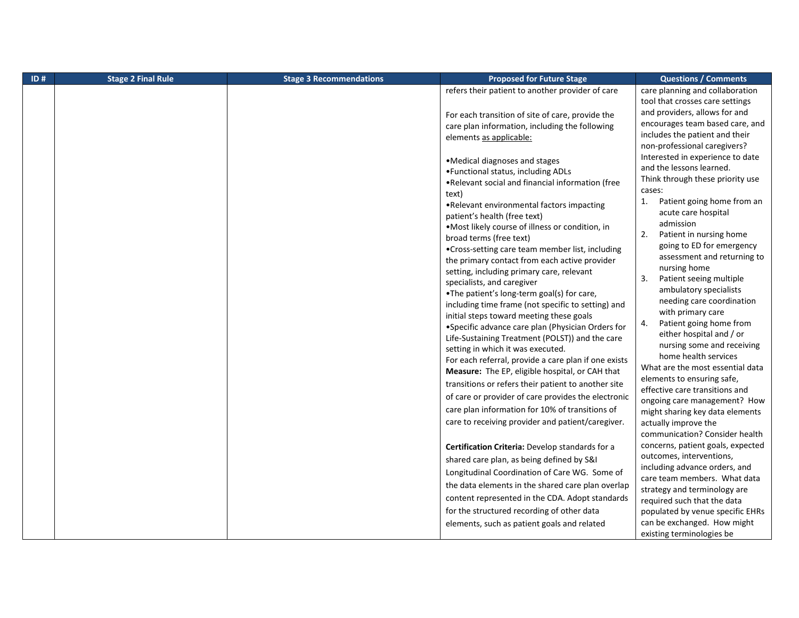| ID# | <b>Stage 2 Final Rule</b> | <b>Stage 3 Recommendations</b> | <b>Proposed for Future Stage</b>                                                                                                                                                                                                                                                                                                                                                                                                                                                                                                                                                                                                                                                                                                                                                                                                                                                                                                                                                                                                                                                                                                                                                                                                                                                                                                                                                                                                                                                                                                                                                                                                                       | <b>Questions / Comments</b>                                                                                                                                                                                                                                                                                                                                                                                                                                                                                                                                                                                                                                                                                                                                                                                                                                                                                                                                                                                                                                                                                                                                                                                                                                                   |
|-----|---------------------------|--------------------------------|--------------------------------------------------------------------------------------------------------------------------------------------------------------------------------------------------------------------------------------------------------------------------------------------------------------------------------------------------------------------------------------------------------------------------------------------------------------------------------------------------------------------------------------------------------------------------------------------------------------------------------------------------------------------------------------------------------------------------------------------------------------------------------------------------------------------------------------------------------------------------------------------------------------------------------------------------------------------------------------------------------------------------------------------------------------------------------------------------------------------------------------------------------------------------------------------------------------------------------------------------------------------------------------------------------------------------------------------------------------------------------------------------------------------------------------------------------------------------------------------------------------------------------------------------------------------------------------------------------------------------------------------------------|-------------------------------------------------------------------------------------------------------------------------------------------------------------------------------------------------------------------------------------------------------------------------------------------------------------------------------------------------------------------------------------------------------------------------------------------------------------------------------------------------------------------------------------------------------------------------------------------------------------------------------------------------------------------------------------------------------------------------------------------------------------------------------------------------------------------------------------------------------------------------------------------------------------------------------------------------------------------------------------------------------------------------------------------------------------------------------------------------------------------------------------------------------------------------------------------------------------------------------------------------------------------------------|
|     |                           |                                | refers their patient to another provider of care<br>For each transition of site of care, provide the<br>care plan information, including the following<br>elements as applicable:<br>•Medical diagnoses and stages<br>• Functional status, including ADLs<br>.Relevant social and financial information (free<br>text)<br>•Relevant environmental factors impacting<br>patient's health (free text)<br>. Most likely course of illness or condition, in<br>broad terms (free text)<br>•Cross-setting care team member list, including<br>the primary contact from each active provider<br>setting, including primary care, relevant<br>specialists, and caregiver<br>.The patient's long-term goal(s) for care,<br>including time frame (not specific to setting) and<br>initial steps toward meeting these goals<br>• Specific advance care plan (Physician Orders for<br>Life-Sustaining Treatment (POLST)) and the care<br>setting in which it was executed.<br>For each referral, provide a care plan if one exists<br>Measure: The EP, eligible hospital, or CAH that<br>transitions or refers their patient to another site<br>of care or provider of care provides the electronic<br>care plan information for 10% of transitions of<br>care to receiving provider and patient/caregiver.<br>Certification Criteria: Develop standards for a<br>shared care plan, as being defined by S&I<br>Longitudinal Coordination of Care WG. Some of<br>the data elements in the shared care plan overlap<br>content represented in the CDA. Adopt standards<br>for the structured recording of other data<br>elements, such as patient goals and related | care planning and collaboration<br>tool that crosses care settings<br>and providers, allows for and<br>encourages team based care, and<br>includes the patient and their<br>non-professional caregivers?<br>Interested in experience to date<br>and the lessons learned.<br>Think through these priority use<br>cases:<br>Patient going home from an<br>1.<br>acute care hospital<br>admission<br>Patient in nursing home<br>2.<br>going to ED for emergency<br>assessment and returning to<br>nursing home<br>3.<br>Patient seeing multiple<br>ambulatory specialists<br>needing care coordination<br>with primary care<br>Patient going home from<br>4.<br>either hospital and / or<br>nursing some and receiving<br>home health services<br>What are the most essential data<br>elements to ensuring safe,<br>effective care transitions and<br>ongoing care management? How<br>might sharing key data elements<br>actually improve the<br>communication? Consider health<br>concerns, patient goals, expected<br>outcomes, interventions,<br>including advance orders, and<br>care team members. What data<br>strategy and terminology are<br>required such that the data<br>populated by venue specific EHRs<br>can be exchanged. How might<br>existing terminologies be |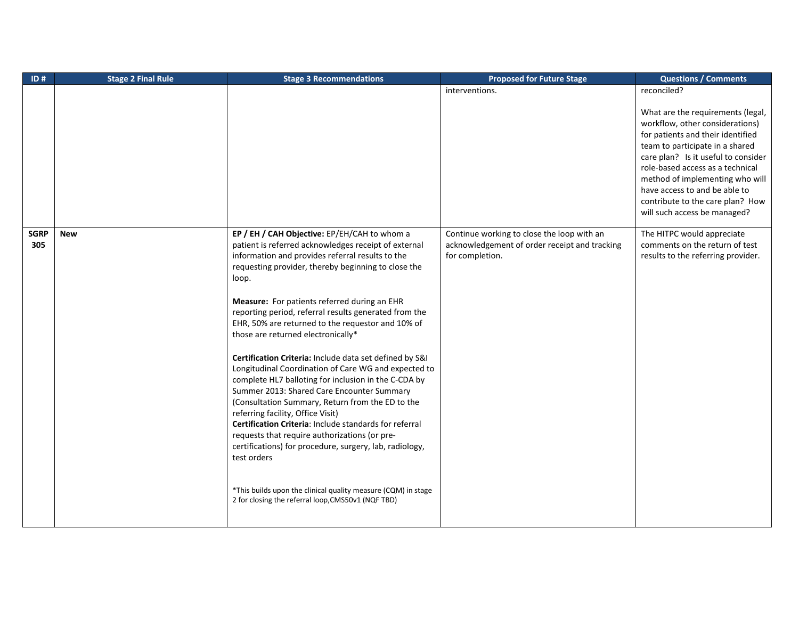| ID#                | <b>Stage 2 Final Rule</b> | <b>Stage 3 Recommendations</b>                                                                                                                                                                                                                                                                                                                                                                                                                                                                                                                                                                                                                                                                                                                                                                                                                                                                                                                                                                                                                             | <b>Proposed for Future Stage</b>                                                                               | <b>Questions / Comments</b>                                                                                                                                                                                                                                                                                                                                     |
|--------------------|---------------------------|------------------------------------------------------------------------------------------------------------------------------------------------------------------------------------------------------------------------------------------------------------------------------------------------------------------------------------------------------------------------------------------------------------------------------------------------------------------------------------------------------------------------------------------------------------------------------------------------------------------------------------------------------------------------------------------------------------------------------------------------------------------------------------------------------------------------------------------------------------------------------------------------------------------------------------------------------------------------------------------------------------------------------------------------------------|----------------------------------------------------------------------------------------------------------------|-----------------------------------------------------------------------------------------------------------------------------------------------------------------------------------------------------------------------------------------------------------------------------------------------------------------------------------------------------------------|
|                    |                           |                                                                                                                                                                                                                                                                                                                                                                                                                                                                                                                                                                                                                                                                                                                                                                                                                                                                                                                                                                                                                                                            | interventions.                                                                                                 | reconciled?                                                                                                                                                                                                                                                                                                                                                     |
|                    |                           |                                                                                                                                                                                                                                                                                                                                                                                                                                                                                                                                                                                                                                                                                                                                                                                                                                                                                                                                                                                                                                                            |                                                                                                                | What are the requirements (legal,<br>workflow, other considerations)<br>for patients and their identified<br>team to participate in a shared<br>care plan? Is it useful to consider<br>role-based access as a technical<br>method of implementing who will<br>have access to and be able to<br>contribute to the care plan? How<br>will such access be managed? |
| <b>SGRP</b><br>305 | <b>New</b>                | EP / EH / CAH Objective: EP/EH/CAH to whom a<br>patient is referred acknowledges receipt of external<br>information and provides referral results to the<br>requesting provider, thereby beginning to close the<br>loop.<br>Measure: For patients referred during an EHR<br>reporting period, referral results generated from the<br>EHR, 50% are returned to the requestor and 10% of<br>those are returned electronically*<br>Certification Criteria: Include data set defined by S&I<br>Longitudinal Coordination of Care WG and expected to<br>complete HL7 balloting for inclusion in the C-CDA by<br>Summer 2013: Shared Care Encounter Summary<br>(Consultation Summary, Return from the ED to the<br>referring facility, Office Visit)<br>Certification Criteria: Include standards for referral<br>requests that require authorizations (or pre-<br>certifications) for procedure, surgery, lab, radiology,<br>test orders<br>*This builds upon the clinical quality measure (CQM) in stage<br>2 for closing the referral loop, CMS50v1 (NQF TBD) | Continue working to close the loop with an<br>acknowledgement of order receipt and tracking<br>for completion. | The HITPC would appreciate<br>comments on the return of test<br>results to the referring provider.                                                                                                                                                                                                                                                              |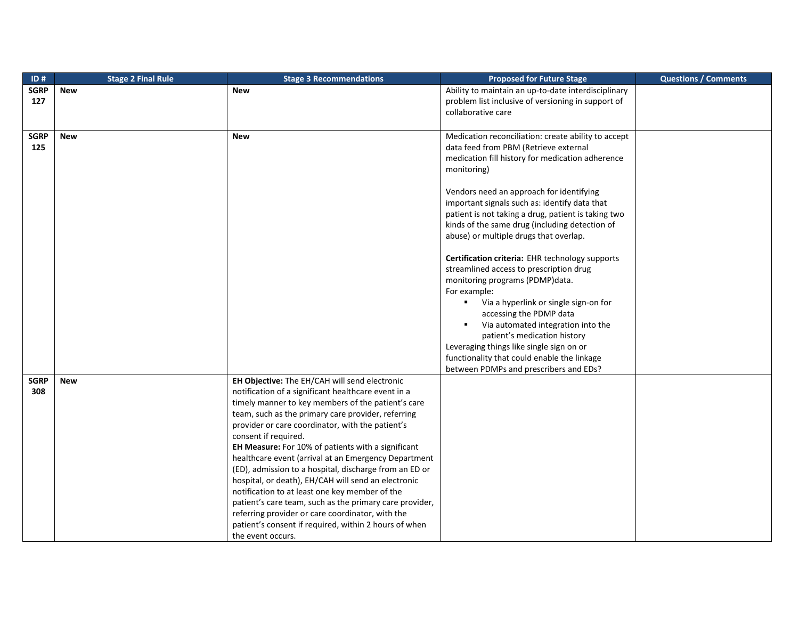| ID#         | <b>Stage 2 Final Rule</b> | <b>Stage 3 Recommendations</b>                          | <b>Proposed for Future Stage</b>                        | <b>Questions / Comments</b> |
|-------------|---------------------------|---------------------------------------------------------|---------------------------------------------------------|-----------------------------|
| <b>SGRP</b> | <b>New</b>                | <b>New</b>                                              | Ability to maintain an up-to-date interdisciplinary     |                             |
| 127         |                           |                                                         | problem list inclusive of versioning in support of      |                             |
|             |                           |                                                         | collaborative care                                      |                             |
|             |                           |                                                         |                                                         |                             |
| <b>SGRP</b> | <b>New</b>                | <b>New</b>                                              | Medication reconciliation: create ability to accept     |                             |
| 125         |                           |                                                         | data feed from PBM (Retrieve external                   |                             |
|             |                           |                                                         | medication fill history for medication adherence        |                             |
|             |                           |                                                         | monitoring)                                             |                             |
|             |                           |                                                         |                                                         |                             |
|             |                           |                                                         | Vendors need an approach for identifying                |                             |
|             |                           |                                                         | important signals such as: identify data that           |                             |
|             |                           |                                                         | patient is not taking a drug, patient is taking two     |                             |
|             |                           |                                                         | kinds of the same drug (including detection of          |                             |
|             |                           |                                                         | abuse) or multiple drugs that overlap.                  |                             |
|             |                           |                                                         |                                                         |                             |
|             |                           |                                                         | Certification criteria: EHR technology supports         |                             |
|             |                           |                                                         | streamlined access to prescription drug                 |                             |
|             |                           |                                                         | monitoring programs (PDMP)data.                         |                             |
|             |                           |                                                         | For example:                                            |                             |
|             |                           |                                                         | Via a hyperlink or single sign-on for<br>$\blacksquare$ |                             |
|             |                           |                                                         | accessing the PDMP data                                 |                             |
|             |                           |                                                         | Via automated integration into the<br>٠                 |                             |
|             |                           |                                                         | patient's medication history                            |                             |
|             |                           |                                                         | Leveraging things like single sign on or                |                             |
|             |                           |                                                         | functionality that could enable the linkage             |                             |
|             |                           |                                                         | between PDMPs and prescribers and EDs?                  |                             |
| <b>SGRP</b> | <b>New</b>                | EH Objective: The EH/CAH will send electronic           |                                                         |                             |
| 308         |                           | notification of a significant healthcare event in a     |                                                         |                             |
|             |                           | timely manner to key members of the patient's care      |                                                         |                             |
|             |                           | team, such as the primary care provider, referring      |                                                         |                             |
|             |                           | provider or care coordinator, with the patient's        |                                                         |                             |
|             |                           | consent if required.                                    |                                                         |                             |
|             |                           | EH Measure: For 10% of patients with a significant      |                                                         |                             |
|             |                           | healthcare event (arrival at an Emergency Department    |                                                         |                             |
|             |                           | (ED), admission to a hospital, discharge from an ED or  |                                                         |                             |
|             |                           | hospital, or death), EH/CAH will send an electronic     |                                                         |                             |
|             |                           | notification to at least one key member of the          |                                                         |                             |
|             |                           | patient's care team, such as the primary care provider, |                                                         |                             |
|             |                           | referring provider or care coordinator, with the        |                                                         |                             |
|             |                           | patient's consent if required, within 2 hours of when   |                                                         |                             |
|             |                           | the event occurs.                                       |                                                         |                             |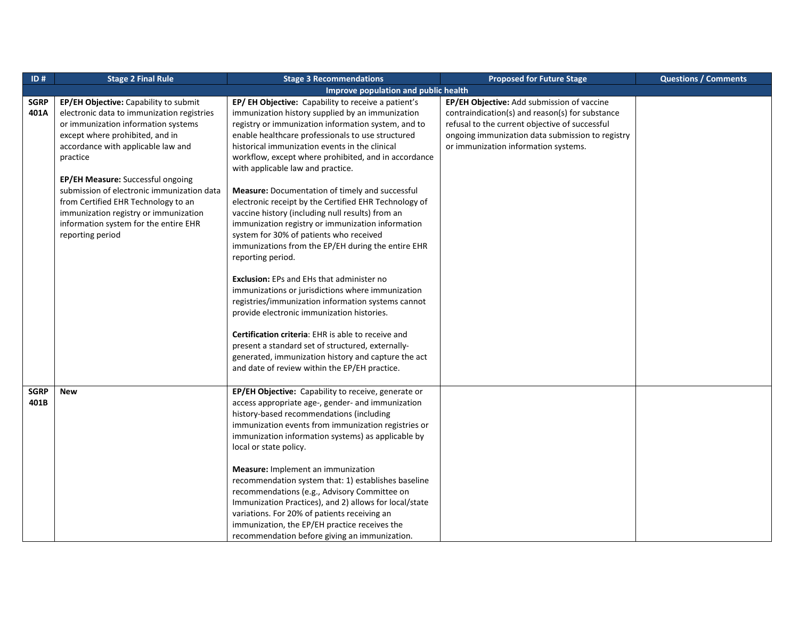| ID#         | <b>Stage 2 Final Rule</b>                  | <b>Stage 3 Recommendations</b>                         | <b>Proposed for Future Stage</b>                 | <b>Questions / Comments</b> |
|-------------|--------------------------------------------|--------------------------------------------------------|--------------------------------------------------|-----------------------------|
|             |                                            | Improve population and public health                   |                                                  |                             |
| <b>SGRP</b> | EP/EH Objective: Capability to submit      | EP/EH Objective: Capability to receive a patient's     | EP/EH Objective: Add submission of vaccine       |                             |
| 401A        | electronic data to immunization registries | immunization history supplied by an immunization       | contraindication(s) and reason(s) for substance  |                             |
|             | or immunization information systems        | registry or immunization information system, and to    | refusal to the current objective of successful   |                             |
|             | except where prohibited, and in            | enable healthcare professionals to use structured      | ongoing immunization data submission to registry |                             |
|             | accordance with applicable law and         | historical immunization events in the clinical         | or immunization information systems.             |                             |
|             | practice                                   | workflow, except where prohibited, and in accordance   |                                                  |                             |
|             |                                            | with applicable law and practice.                      |                                                  |                             |
|             | EP/EH Measure: Successful ongoing          |                                                        |                                                  |                             |
|             | submission of electronic immunization data | <b>Measure:</b> Documentation of timely and successful |                                                  |                             |
|             | from Certified EHR Technology to an        | electronic receipt by the Certified EHR Technology of  |                                                  |                             |
|             | immunization registry or immunization      | vaccine history (including null results) from an       |                                                  |                             |
|             | information system for the entire EHR      | immunization registry or immunization information      |                                                  |                             |
|             | reporting period                           | system for 30% of patients who received                |                                                  |                             |
|             |                                            | immunizations from the EP/EH during the entire EHR     |                                                  |                             |
|             |                                            | reporting period.                                      |                                                  |                             |
|             |                                            |                                                        |                                                  |                             |
|             |                                            | <b>Exclusion:</b> EPs and EHs that administer no       |                                                  |                             |
|             |                                            | immunizations or jurisdictions where immunization      |                                                  |                             |
|             |                                            | registries/immunization information systems cannot     |                                                  |                             |
|             |                                            | provide electronic immunization histories.             |                                                  |                             |
|             |                                            |                                                        |                                                  |                             |
|             |                                            | Certification criteria: EHR is able to receive and     |                                                  |                             |
|             |                                            | present a standard set of structured, externally-      |                                                  |                             |
|             |                                            | generated, immunization history and capture the act    |                                                  |                             |
|             |                                            | and date of review within the EP/EH practice.          |                                                  |                             |
|             |                                            |                                                        |                                                  |                             |
| <b>SGRP</b> | <b>New</b>                                 | EP/EH Objective: Capability to receive, generate or    |                                                  |                             |
| 401B        |                                            | access appropriate age-, gender- and immunization      |                                                  |                             |
|             |                                            | history-based recommendations (including               |                                                  |                             |
|             |                                            | immunization events from immunization registries or    |                                                  |                             |
|             |                                            | immunization information systems) as applicable by     |                                                  |                             |
|             |                                            | local or state policy.                                 |                                                  |                             |
|             |                                            |                                                        |                                                  |                             |
|             |                                            | <b>Measure:</b> Implement an immunization              |                                                  |                             |
|             |                                            | recommendation system that: 1) establishes baseline    |                                                  |                             |
|             |                                            | recommendations (e.g., Advisory Committee on           |                                                  |                             |
|             |                                            | Immunization Practices), and 2) allows for local/state |                                                  |                             |
|             |                                            | variations. For 20% of patients receiving an           |                                                  |                             |
|             |                                            | immunization, the EP/EH practice receives the          |                                                  |                             |
|             |                                            | recommendation before giving an immunization.          |                                                  |                             |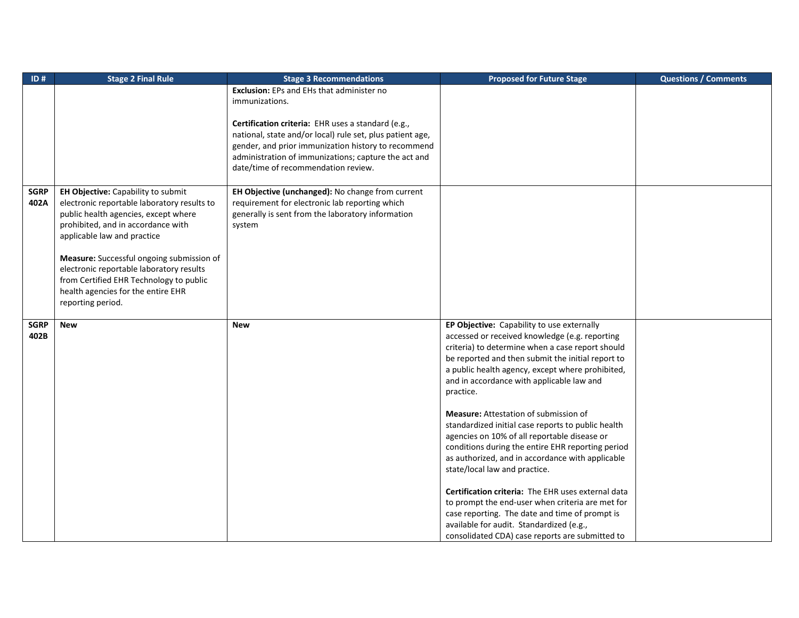| ID#         | <b>Stage 2 Final Rule</b>                   | <b>Stage 3 Recommendations</b>                            | <b>Proposed for Future Stage</b>                   | <b>Questions / Comments</b> |
|-------------|---------------------------------------------|-----------------------------------------------------------|----------------------------------------------------|-----------------------------|
|             |                                             | <b>Exclusion:</b> EPs and EHs that administer no          |                                                    |                             |
|             |                                             | immunizations.                                            |                                                    |                             |
|             |                                             |                                                           |                                                    |                             |
|             |                                             | Certification criteria: EHR uses a standard (e.g.,        |                                                    |                             |
|             |                                             | national, state and/or local) rule set, plus patient age, |                                                    |                             |
|             |                                             | gender, and prior immunization history to recommend       |                                                    |                             |
|             |                                             | administration of immunizations; capture the act and      |                                                    |                             |
|             |                                             | date/time of recommendation review.                       |                                                    |                             |
|             |                                             |                                                           |                                                    |                             |
| <b>SGRP</b> | EH Objective: Capability to submit          | EH Objective (unchanged): No change from current          |                                                    |                             |
| 402A        | electronic reportable laboratory results to | requirement for electronic lab reporting which            |                                                    |                             |
|             | public health agencies, except where        | generally is sent from the laboratory information         |                                                    |                             |
|             | prohibited, and in accordance with          | system                                                    |                                                    |                             |
|             | applicable law and practice                 |                                                           |                                                    |                             |
|             |                                             |                                                           |                                                    |                             |
|             | Measure: Successful ongoing submission of   |                                                           |                                                    |                             |
|             | electronic reportable laboratory results    |                                                           |                                                    |                             |
|             | from Certified EHR Technology to public     |                                                           |                                                    |                             |
|             | health agencies for the entire EHR          |                                                           |                                                    |                             |
|             | reporting period.                           |                                                           |                                                    |                             |
|             |                                             |                                                           |                                                    |                             |
| <b>SGRP</b> | <b>New</b>                                  | <b>New</b>                                                | EP Objective: Capability to use externally         |                             |
| 402B        |                                             |                                                           | accessed or received knowledge (e.g. reporting     |                             |
|             |                                             |                                                           | criteria) to determine when a case report should   |                             |
|             |                                             |                                                           | be reported and then submit the initial report to  |                             |
|             |                                             |                                                           | a public health agency, except where prohibited,   |                             |
|             |                                             |                                                           | and in accordance with applicable law and          |                             |
|             |                                             |                                                           | practice.                                          |                             |
|             |                                             |                                                           |                                                    |                             |
|             |                                             |                                                           | <b>Measure:</b> Attestation of submission of       |                             |
|             |                                             |                                                           | standardized initial case reports to public health |                             |
|             |                                             |                                                           | agencies on 10% of all reportable disease or       |                             |
|             |                                             |                                                           | conditions during the entire EHR reporting period  |                             |
|             |                                             |                                                           | as authorized, and in accordance with applicable   |                             |
|             |                                             |                                                           | state/local law and practice.                      |                             |
|             |                                             |                                                           |                                                    |                             |
|             |                                             |                                                           | Certification criteria: The EHR uses external data |                             |
|             |                                             |                                                           | to prompt the end-user when criteria are met for   |                             |
|             |                                             |                                                           | case reporting. The date and time of prompt is     |                             |
|             |                                             |                                                           | available for audit. Standardized (e.g.,           |                             |
|             |                                             |                                                           | consolidated CDA) case reports are submitted to    |                             |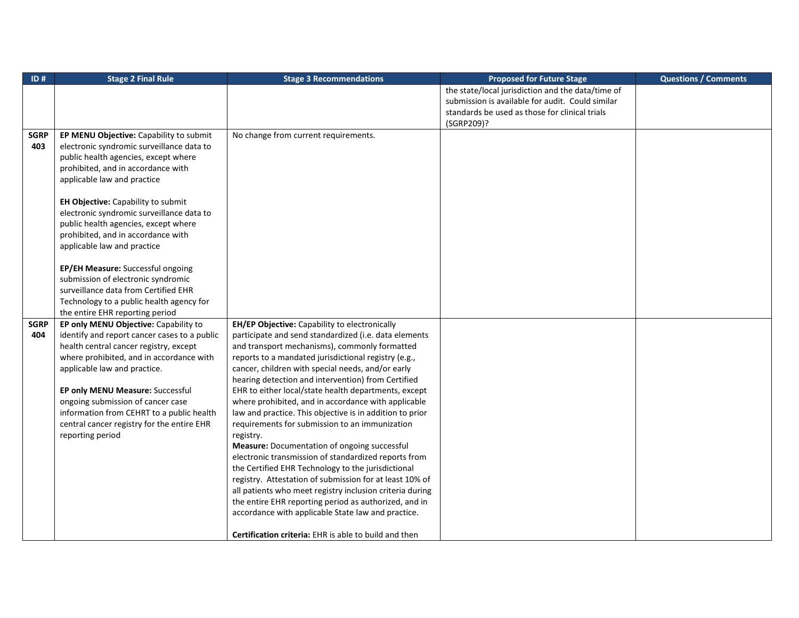| ID#         | <b>Stage 2 Final Rule</b>                    | <b>Stage 3 Recommendations</b>                               | <b>Proposed for Future Stage</b>                  | <b>Questions / Comments</b> |
|-------------|----------------------------------------------|--------------------------------------------------------------|---------------------------------------------------|-----------------------------|
|             |                                              |                                                              | the state/local jurisdiction and the data/time of |                             |
|             |                                              |                                                              | submission is available for audit. Could similar  |                             |
|             |                                              |                                                              | standards be used as those for clinical trials    |                             |
|             |                                              |                                                              | (SGRP209)?                                        |                             |
| <b>SGRP</b> | EP MENU Objective: Capability to submit      | No change from current requirements.                         |                                                   |                             |
| 403         | electronic syndromic surveillance data to    |                                                              |                                                   |                             |
|             | public health agencies, except where         |                                                              |                                                   |                             |
|             | prohibited, and in accordance with           |                                                              |                                                   |                             |
|             | applicable law and practice                  |                                                              |                                                   |                             |
|             |                                              |                                                              |                                                   |                             |
|             | EH Objective: Capability to submit           |                                                              |                                                   |                             |
|             | electronic syndromic surveillance data to    |                                                              |                                                   |                             |
|             | public health agencies, except where         |                                                              |                                                   |                             |
|             | prohibited, and in accordance with           |                                                              |                                                   |                             |
|             | applicable law and practice                  |                                                              |                                                   |                             |
|             |                                              |                                                              |                                                   |                             |
|             | EP/EH Measure: Successful ongoing            |                                                              |                                                   |                             |
|             | submission of electronic syndromic           |                                                              |                                                   |                             |
|             | surveillance data from Certified EHR         |                                                              |                                                   |                             |
|             | Technology to a public health agency for     |                                                              |                                                   |                             |
|             | the entire EHR reporting period              |                                                              |                                                   |                             |
| <b>SGRP</b> | EP only MENU Objective: Capability to        | EH/EP Objective: Capability to electronically                |                                                   |                             |
| 404         | identify and report cancer cases to a public | participate and send standardized (i.e. data elements        |                                                   |                             |
|             | health central cancer registry, except       | and transport mechanisms), commonly formatted                |                                                   |                             |
|             | where prohibited, and in accordance with     | reports to a mandated jurisdictional registry (e.g.,         |                                                   |                             |
|             | applicable law and practice.                 | cancer, children with special needs, and/or early            |                                                   |                             |
|             |                                              | hearing detection and intervention) from Certified           |                                                   |                             |
|             | EP only MENU Measure: Successful             | EHR to either local/state health departments, except         |                                                   |                             |
|             | ongoing submission of cancer case            | where prohibited, and in accordance with applicable          |                                                   |                             |
|             | information from CEHRT to a public health    | law and practice. This objective is in addition to prior     |                                                   |                             |
|             | central cancer registry for the entire EHR   | requirements for submission to an immunization               |                                                   |                             |
|             | reporting period                             | registry.                                                    |                                                   |                             |
|             |                                              | Measure: Documentation of ongoing successful                 |                                                   |                             |
|             |                                              | electronic transmission of standardized reports from         |                                                   |                             |
|             |                                              | the Certified EHR Technology to the jurisdictional           |                                                   |                             |
|             |                                              | registry. Attestation of submission for at least 10% of      |                                                   |                             |
|             |                                              | all patients who meet registry inclusion criteria during     |                                                   |                             |
|             |                                              | the entire EHR reporting period as authorized, and in        |                                                   |                             |
|             |                                              | accordance with applicable State law and practice.           |                                                   |                             |
|             |                                              |                                                              |                                                   |                             |
|             |                                              | <b>Certification criteria:</b> EHR is able to build and then |                                                   |                             |
|             |                                              |                                                              |                                                   |                             |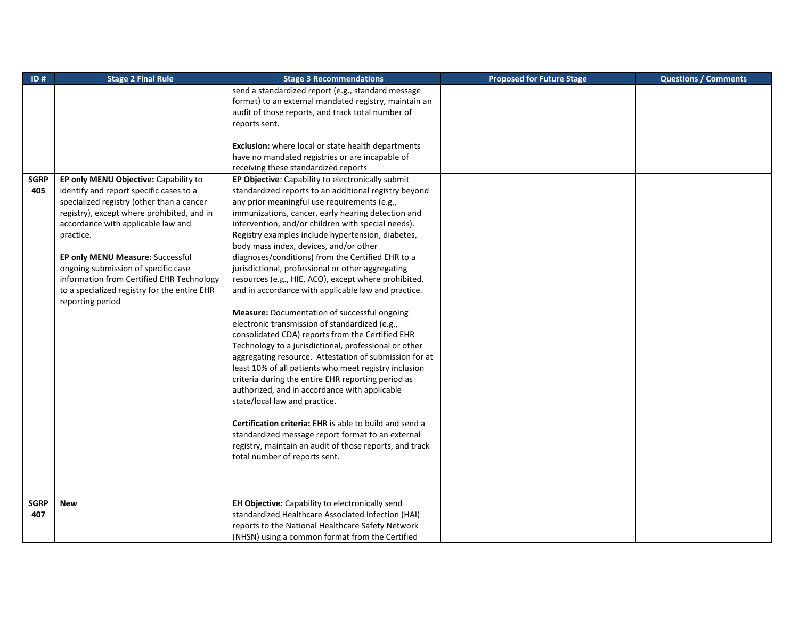| ID#         | <b>Stage 2 Final Rule</b>                    | <b>Stage 3 Recommendations</b>                                 | <b>Proposed for Future Stage</b> | <b>Questions / Comments</b> |
|-------------|----------------------------------------------|----------------------------------------------------------------|----------------------------------|-----------------------------|
|             |                                              | send a standardized report (e.g., standard message             |                                  |                             |
|             |                                              | format) to an external mandated registry, maintain an          |                                  |                             |
|             |                                              | audit of those reports, and track total number of              |                                  |                             |
|             |                                              | reports sent.                                                  |                                  |                             |
|             |                                              |                                                                |                                  |                             |
|             |                                              | <b>Exclusion:</b> where local or state health departments      |                                  |                             |
|             |                                              | have no mandated registries or are incapable of                |                                  |                             |
|             |                                              | receiving these standardized reports                           |                                  |                             |
| <b>SGRP</b> | EP only MENU Objective: Capability to        | EP Objective: Capability to electronically submit              |                                  |                             |
| 405         | identify and report specific cases to a      | standardized reports to an additional registry beyond          |                                  |                             |
|             | specialized registry (other than a cancer    | any prior meaningful use requirements (e.g.,                   |                                  |                             |
|             | registry), except where prohibited, and in   | immunizations, cancer, early hearing detection and             |                                  |                             |
|             | accordance with applicable law and           | intervention, and/or children with special needs).             |                                  |                             |
|             | practice.                                    | Registry examples include hypertension, diabetes,              |                                  |                             |
|             |                                              | body mass index, devices, and/or other                         |                                  |                             |
|             | EP only MENU Measure: Successful             | diagnoses/conditions) from the Certified EHR to a              |                                  |                             |
|             | ongoing submission of specific case          | jurisdictional, professional or other aggregating              |                                  |                             |
|             | information from Certified EHR Technology    | resources (e.g., HIE, ACO), except where prohibited,           |                                  |                             |
|             | to a specialized registry for the entire EHR | and in accordance with applicable law and practice.            |                                  |                             |
|             | reporting period                             |                                                                |                                  |                             |
|             |                                              | Measure: Documentation of successful ongoing                   |                                  |                             |
|             |                                              | electronic transmission of standardized (e.g.,                 |                                  |                             |
|             |                                              | consolidated CDA) reports from the Certified EHR               |                                  |                             |
|             |                                              | Technology to a jurisdictional, professional or other          |                                  |                             |
|             |                                              | aggregating resource. Attestation of submission for at         |                                  |                             |
|             |                                              | least 10% of all patients who meet registry inclusion          |                                  |                             |
|             |                                              | criteria during the entire EHR reporting period as             |                                  |                             |
|             |                                              | authorized, and in accordance with applicable                  |                                  |                             |
|             |                                              | state/local law and practice.                                  |                                  |                             |
|             |                                              |                                                                |                                  |                             |
|             |                                              | <b>Certification criteria:</b> EHR is able to build and send a |                                  |                             |
|             |                                              | standardized message report format to an external              |                                  |                             |
|             |                                              | registry, maintain an audit of those reports, and track        |                                  |                             |
|             |                                              | total number of reports sent.                                  |                                  |                             |
|             |                                              |                                                                |                                  |                             |
|             |                                              |                                                                |                                  |                             |
|             |                                              |                                                                |                                  |                             |
| <b>SGRP</b> | <b>New</b>                                   | EH Objective: Capability to electronically send                |                                  |                             |
| 407         |                                              | standardized Healthcare Associated Infection (HAI)             |                                  |                             |
|             |                                              | reports to the National Healthcare Safety Network              |                                  |                             |
|             |                                              | (NHSN) using a common format from the Certified                |                                  |                             |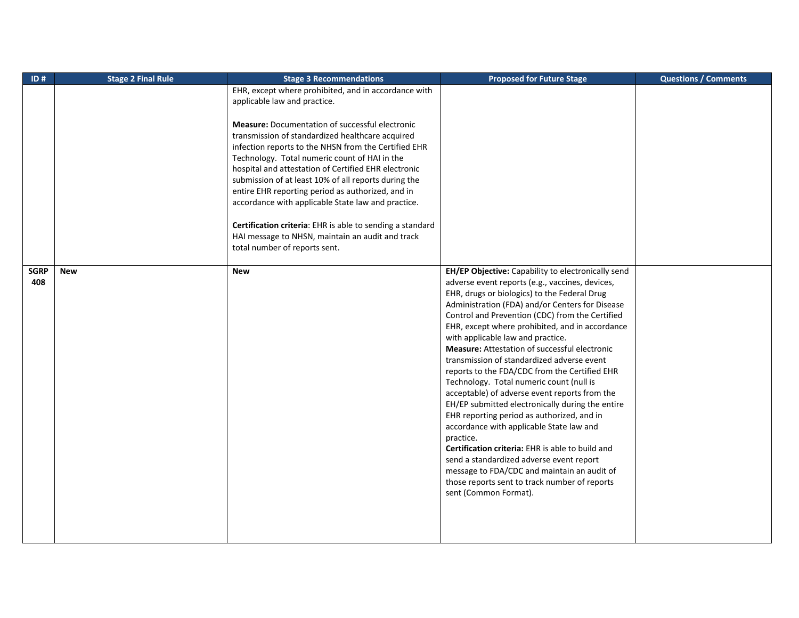| ID#         | <b>Stage 2 Final Rule</b> | <b>Stage 3 Recommendations</b>                            | <b>Proposed for Future Stage</b>                     | <b>Questions / Comments</b> |
|-------------|---------------------------|-----------------------------------------------------------|------------------------------------------------------|-----------------------------|
|             |                           | EHR, except where prohibited, and in accordance with      |                                                      |                             |
|             |                           | applicable law and practice.                              |                                                      |                             |
|             |                           |                                                           |                                                      |                             |
|             |                           | <b>Measure:</b> Documentation of successful electronic    |                                                      |                             |
|             |                           | transmission of standardized healthcare acquired          |                                                      |                             |
|             |                           | infection reports to the NHSN from the Certified EHR      |                                                      |                             |
|             |                           | Technology. Total numeric count of HAI in the             |                                                      |                             |
|             |                           | hospital and attestation of Certified EHR electronic      |                                                      |                             |
|             |                           | submission of at least 10% of all reports during the      |                                                      |                             |
|             |                           | entire EHR reporting period as authorized, and in         |                                                      |                             |
|             |                           | accordance with applicable State law and practice.        |                                                      |                             |
|             |                           |                                                           |                                                      |                             |
|             |                           | Certification criteria: EHR is able to sending a standard |                                                      |                             |
|             |                           | HAI message to NHSN, maintain an audit and track          |                                                      |                             |
|             |                           | total number of reports sent.                             |                                                      |                             |
|             |                           |                                                           |                                                      |                             |
| <b>SGRP</b> | <b>New</b>                | <b>New</b>                                                | EH/EP Objective: Capability to electronically send   |                             |
| 408         |                           |                                                           | adverse event reports (e.g., vaccines, devices,      |                             |
|             |                           |                                                           | EHR, drugs or biologics) to the Federal Drug         |                             |
|             |                           |                                                           | Administration (FDA) and/or Centers for Disease      |                             |
|             |                           |                                                           | Control and Prevention (CDC) from the Certified      |                             |
|             |                           |                                                           | EHR, except where prohibited, and in accordance      |                             |
|             |                           |                                                           | with applicable law and practice.                    |                             |
|             |                           |                                                           | <b>Measure:</b> Attestation of successful electronic |                             |
|             |                           |                                                           | transmission of standardized adverse event           |                             |
|             |                           |                                                           | reports to the FDA/CDC from the Certified EHR        |                             |
|             |                           |                                                           | Technology. Total numeric count (null is             |                             |
|             |                           |                                                           | acceptable) of adverse event reports from the        |                             |
|             |                           |                                                           | EH/EP submitted electronically during the entire     |                             |
|             |                           |                                                           | EHR reporting period as authorized, and in           |                             |
|             |                           |                                                           | accordance with applicable State law and             |                             |
|             |                           |                                                           | practice.                                            |                             |
|             |                           |                                                           | Certification criteria: EHR is able to build and     |                             |
|             |                           |                                                           | send a standardized adverse event report             |                             |
|             |                           |                                                           | message to FDA/CDC and maintain an audit of          |                             |
|             |                           |                                                           | those reports sent to track number of reports        |                             |
|             |                           |                                                           | sent (Common Format).                                |                             |
|             |                           |                                                           |                                                      |                             |
|             |                           |                                                           |                                                      |                             |
|             |                           |                                                           |                                                      |                             |
|             |                           |                                                           |                                                      |                             |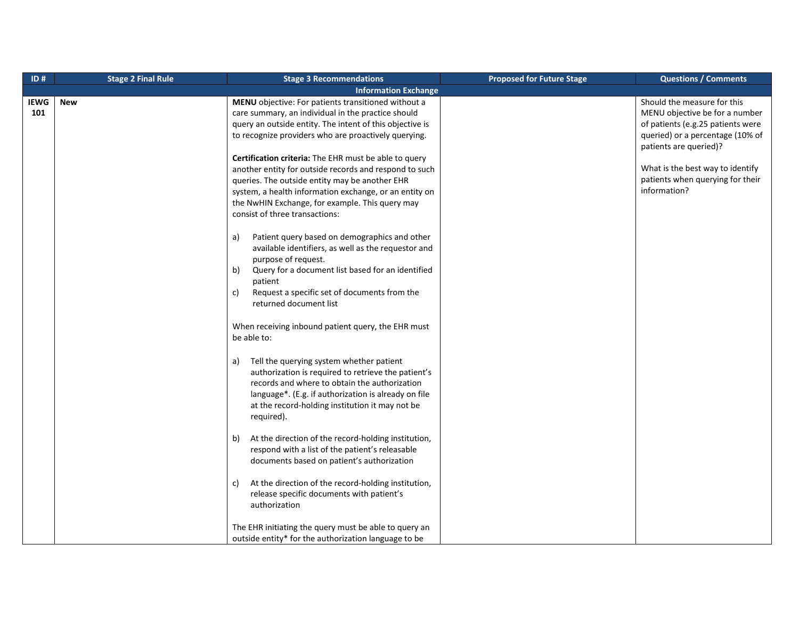| ID#         | <b>Stage 2 Final Rule</b> | <b>Stage 3 Recommendations</b>                                                                                                                                                                                                                                                                                                                                                                                                                                                                                                                                                                                                                                                                                                                                                                                                               | <b>Proposed for Future Stage</b> | <b>Questions / Comments</b>                                                                                                                                                                                                                              |
|-------------|---------------------------|----------------------------------------------------------------------------------------------------------------------------------------------------------------------------------------------------------------------------------------------------------------------------------------------------------------------------------------------------------------------------------------------------------------------------------------------------------------------------------------------------------------------------------------------------------------------------------------------------------------------------------------------------------------------------------------------------------------------------------------------------------------------------------------------------------------------------------------------|----------------------------------|----------------------------------------------------------------------------------------------------------------------------------------------------------------------------------------------------------------------------------------------------------|
|             |                           | <b>Information Exchange</b>                                                                                                                                                                                                                                                                                                                                                                                                                                                                                                                                                                                                                                                                                                                                                                                                                  |                                  |                                                                                                                                                                                                                                                          |
| IEWG<br>101 | <b>New</b>                | MENU objective: For patients transitioned without a<br>care summary, an individual in the practice should<br>query an outside entity. The intent of this objective is<br>to recognize providers who are proactively querying.<br>Certification criteria: The EHR must be able to query<br>another entity for outside records and respond to such<br>queries. The outside entity may be another EHR<br>system, a health information exchange, or an entity on<br>the NwHIN Exchange, for example. This query may<br>consist of three transactions:<br>Patient query based on demographics and other<br>a)<br>available identifiers, as well as the requestor and<br>purpose of request.<br>Query for a document list based for an identified<br>b)<br>patient<br>Request a specific set of documents from the<br>c)<br>returned document list |                                  | Should the measure for this<br>MENU objective be for a number<br>of patients (e.g.25 patients were<br>queried) or a percentage (10% of<br>patients are queried)?<br>What is the best way to identify<br>patients when querying for their<br>information? |
|             |                           | When receiving inbound patient query, the EHR must<br>be able to:<br>Tell the querying system whether patient<br>a)<br>authorization is required to retrieve the patient's<br>records and where to obtain the authorization<br>language*. (E.g. if authorization is already on file<br>at the record-holding institution it may not be<br>required).                                                                                                                                                                                                                                                                                                                                                                                                                                                                                         |                                  |                                                                                                                                                                                                                                                          |
|             |                           | At the direction of the record-holding institution,<br>b)<br>respond with a list of the patient's releasable<br>documents based on patient's authorization<br>At the direction of the record-holding institution,<br>C)                                                                                                                                                                                                                                                                                                                                                                                                                                                                                                                                                                                                                      |                                  |                                                                                                                                                                                                                                                          |
|             |                           | release specific documents with patient's<br>authorization<br>The EHR initiating the query must be able to query an<br>outside entity* for the authorization language to be                                                                                                                                                                                                                                                                                                                                                                                                                                                                                                                                                                                                                                                                  |                                  |                                                                                                                                                                                                                                                          |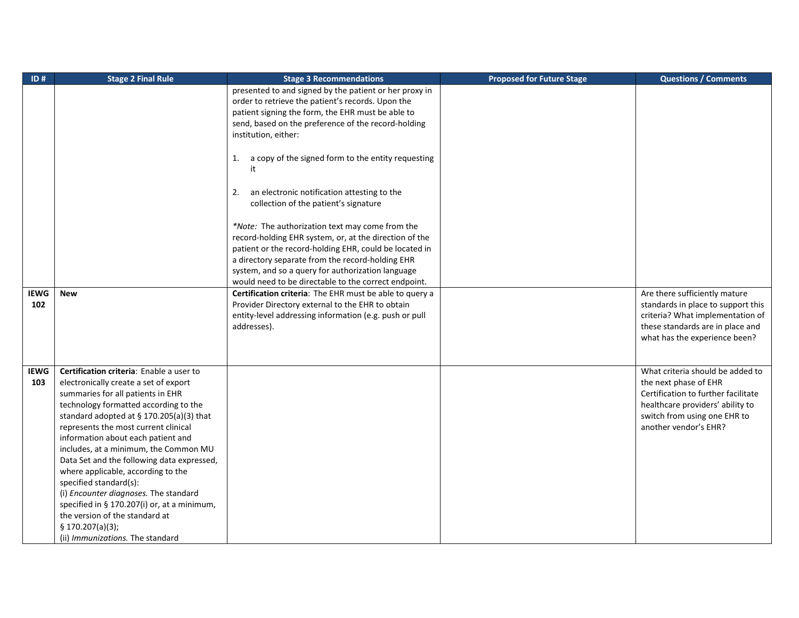| ID#         | <b>Stage 2 Final Rule</b>                   | <b>Stage 3 Recommendations</b>                           | <b>Proposed for Future Stage</b> | <b>Questions / Comments</b>         |
|-------------|---------------------------------------------|----------------------------------------------------------|----------------------------------|-------------------------------------|
|             |                                             | presented to and signed by the patient or her proxy in   |                                  |                                     |
|             |                                             | order to retrieve the patient's records. Upon the        |                                  |                                     |
|             |                                             | patient signing the form, the EHR must be able to        |                                  |                                     |
|             |                                             | send, based on the preference of the record-holding      |                                  |                                     |
|             |                                             | institution, either:                                     |                                  |                                     |
|             |                                             |                                                          |                                  |                                     |
|             |                                             | a copy of the signed form to the entity requesting<br>1. |                                  |                                     |
|             |                                             |                                                          |                                  |                                     |
|             |                                             | an electronic notification attesting to the<br>2.        |                                  |                                     |
|             |                                             | collection of the patient's signature                    |                                  |                                     |
|             |                                             | *Note: The authorization text may come from the          |                                  |                                     |
|             |                                             | record-holding EHR system, or, at the direction of the   |                                  |                                     |
|             |                                             | patient or the record-holding EHR, could be located in   |                                  |                                     |
|             |                                             | a directory separate from the record-holding EHR         |                                  |                                     |
|             |                                             | system, and so a query for authorization language        |                                  |                                     |
|             |                                             | would need to be directable to the correct endpoint.     |                                  |                                     |
| <b>IEWG</b> | <b>New</b>                                  | Certification criteria: The EHR must be able to query a  |                                  | Are there sufficiently mature       |
| 102         |                                             | Provider Directory external to the EHR to obtain         |                                  | standards in place to support this  |
|             |                                             | entity-level addressing information (e.g. push or pull   |                                  | criteria? What implementation of    |
|             |                                             | addresses).                                              |                                  | these standards are in place and    |
|             |                                             |                                                          |                                  | what has the experience been?       |
|             |                                             |                                                          |                                  |                                     |
|             |                                             |                                                          |                                  |                                     |
| <b>IEWG</b> | Certification criteria: Enable a user to    |                                                          |                                  | What criteria should be added to    |
| 103         | electronically create a set of export       |                                                          |                                  | the next phase of EHR               |
|             | summaries for all patients in EHR           |                                                          |                                  | Certification to further facilitate |
|             | technology formatted according to the       |                                                          |                                  | healthcare providers' ability to    |
|             | standard adopted at $\S$ 170.205(a)(3) that |                                                          |                                  | switch from using one EHR to        |
|             | represents the most current clinical        |                                                          |                                  | another vendor's EHR?               |
|             | information about each patient and          |                                                          |                                  |                                     |
|             | includes, at a minimum, the Common MU       |                                                          |                                  |                                     |
|             | Data Set and the following data expressed,  |                                                          |                                  |                                     |
|             | where applicable, according to the          |                                                          |                                  |                                     |
|             | specified standard(s):                      |                                                          |                                  |                                     |
|             | (i) Encounter diagnoses. The standard       |                                                          |                                  |                                     |
|             | specified in § 170.207(i) or, at a minimum, |                                                          |                                  |                                     |
|             | the version of the standard at              |                                                          |                                  |                                     |
|             | \$ 170.207(a)(3);                           |                                                          |                                  |                                     |
|             | (ii) Immunizations. The standard            |                                                          |                                  |                                     |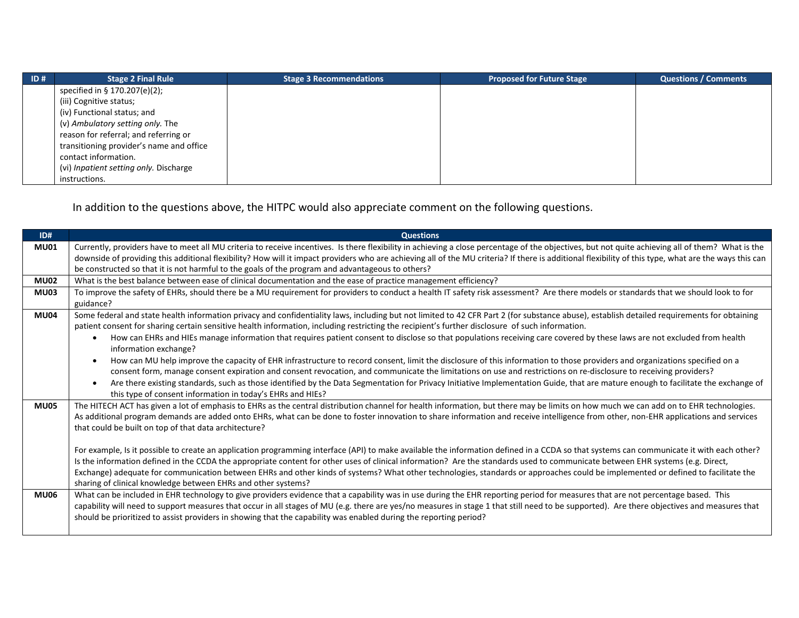| $\overline{1}$ ID # | <b>Stage 2 Final Rule</b>                | <b>Stage 3 Recommendations</b> | <b>Proposed for Future Stage</b> | <b>Questions / Comments</b> |
|---------------------|------------------------------------------|--------------------------------|----------------------------------|-----------------------------|
|                     | specified in § 170.207(e)(2);            |                                |                                  |                             |
|                     | (iii) Cognitive status;                  |                                |                                  |                             |
|                     | (iv) Functional status; and              |                                |                                  |                             |
|                     | (v) Ambulatory setting only. The         |                                |                                  |                             |
|                     | reason for referral; and referring or    |                                |                                  |                             |
|                     | transitioning provider's name and office |                                |                                  |                             |
|                     | contact information.                     |                                |                                  |                             |
|                     | (vi) Inpatient setting only. Discharge   |                                |                                  |                             |
|                     | instructions.                            |                                |                                  |                             |

In addition to the questions above, the HITPC would also appreciate comment on the following questions.

| ID#         | <b>Questions</b>                                                                                                                                                                                                                                                                                                                               |
|-------------|------------------------------------------------------------------------------------------------------------------------------------------------------------------------------------------------------------------------------------------------------------------------------------------------------------------------------------------------|
| <b>MU01</b> | Currently, providers have to meet all MU criteria to receive incentives. Is there flexibility in achieving a close percentage of the objectives, but not quite achieving all of them? What is the                                                                                                                                              |
|             | downside of providing this additional flexibility? How will it impact providers who are achieving all of the MU criteria? If there is additional flexibility of this type, what are the ways this can                                                                                                                                          |
|             | be constructed so that it is not harmful to the goals of the program and advantageous to others?                                                                                                                                                                                                                                               |
| <b>MU02</b> | What is the best balance between ease of clinical documentation and the ease of practice management efficiency?                                                                                                                                                                                                                                |
| <b>MU03</b> | To improve the safety of EHRs, should there be a MU requirement for providers to conduct a health IT safety risk assessment? Are there models or standards that we should look to for                                                                                                                                                          |
|             | guidance?                                                                                                                                                                                                                                                                                                                                      |
| <b>MU04</b> | Some federal and state health information privacy and confidentiality laws, including but not limited to 42 CFR Part 2 (for substance abuse), establish detailed requirements for obtaining<br>patient consent for sharing certain sensitive health information, including restricting the recipient's further disclosure of such information. |
|             | How can EHRs and HIEs manage information that requires patient consent to disclose so that populations receiving care covered by these laws are not excluded from health<br>information exchange?                                                                                                                                              |
|             | How can MU help improve the capacity of EHR infrastructure to record consent, limit the disclosure of this information to those providers and organizations specified on a                                                                                                                                                                     |
|             | consent form, manage consent expiration and consent revocation, and communicate the limitations on use and restrictions on re-disclosure to receiving providers?                                                                                                                                                                               |
|             | Are there existing standards, such as those identified by the Data Segmentation for Privacy Initiative Implementation Guide, that are mature enough to facilitate the exchange of<br>this type of consent information in today's EHRs and HIEs?                                                                                                |
| <b>MU05</b> | The HITECH ACT has given a lot of emphasis to EHRs as the central distribution channel for health information, but there may be limits on how much we can add on to EHR technologies.                                                                                                                                                          |
|             | As additional program demands are added onto EHRs, what can be done to foster innovation to share information and receive intelligence from other, non-EHR applications and services                                                                                                                                                           |
|             | that could be built on top of that data architecture?                                                                                                                                                                                                                                                                                          |
|             | For example, Is it possible to create an application programming interface (API) to make available the information defined in a CCDA so that systems can communicate it with each other?                                                                                                                                                       |
|             | Is the information defined in the CCDA the appropriate content for other uses of clinical information? Are the standards used to communicate between EHR systems (e.g. Direct,                                                                                                                                                                 |
|             | Exchange) adequate for communication between EHRs and other kinds of systems? What other technologies, standards or approaches could be implemented or defined to facilitate the                                                                                                                                                               |
|             | sharing of clinical knowledge between EHRs and other systems?                                                                                                                                                                                                                                                                                  |
| <b>MU06</b> | What can be included in EHR technology to give providers evidence that a capability was in use during the EHR reporting period for measures that are not percentage based. This                                                                                                                                                                |
|             | capability will need to support measures that occur in all stages of MU (e.g. there are yes/no measures in stage 1 that still need to be supported). Are there objectives and measures that                                                                                                                                                    |
|             | should be prioritized to assist providers in showing that the capability was enabled during the reporting period?                                                                                                                                                                                                                              |
|             |                                                                                                                                                                                                                                                                                                                                                |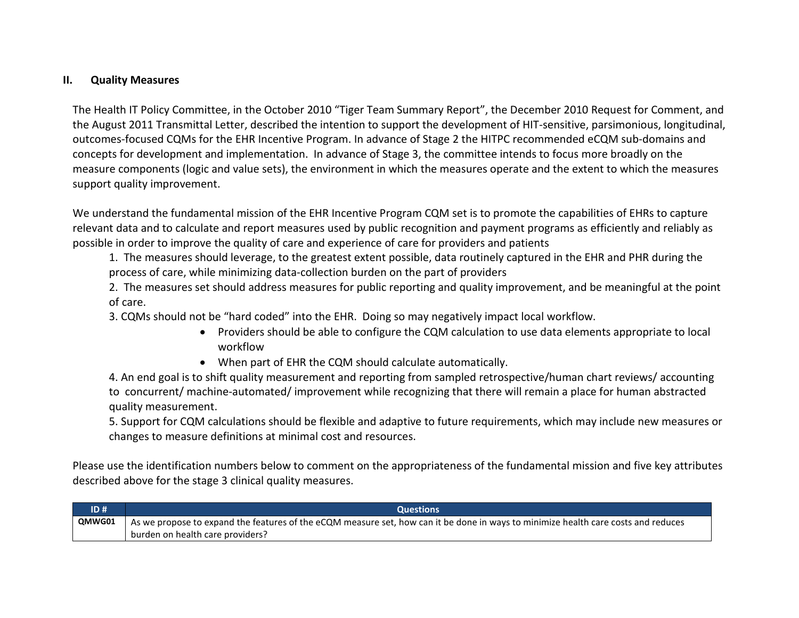# **II. Quality Measures**

The Health IT Policy Committee, in the October 2010 "Tiger Team Summary Report", the December 2010 Request for Comment, and the August 2011 Transmittal Letter, described the intention to support the development of HIT-sensitive, parsimonious, longitudinal, outcomes-focused CQMs for the EHR Incentive Program. In advance of Stage 2 the HITPC recommended eCQM sub-domains and concepts for development and implementation. In advance of Stage 3, the committee intends to focus more broadly on the measure components (logic and value sets), the environment in which the measures operate and the extent to which the measures support quality improvement.

We understand the fundamental mission of the EHR Incentive Program CQM set is to promote the capabilities of EHRs to capture relevant data and to calculate and report measures used by public recognition and payment programs as efficiently and reliably as possible in order to improve the quality of care and experience of care for providers and patients

1. The measures should leverage, to the greatest extent possible, data routinely captured in the EHR and PHR during the process of care, while minimizing data-collection burden on the part of providers

2. The measures set should address measures for public reporting and quality improvement, and be meaningful at the point of care.

3. CQMs should not be "hard coded" into the EHR. Doing so may negatively impact local workflow.

- Providers should be able to configure the CQM calculation to use data elements appropriate to local workflow
- When part of EHR the CQM should calculate automatically.

4. An end goal is to shift quality measurement and reporting from sampled retrospective/human chart reviews/ accounting to concurrent/ machine-automated/ improvement while recognizing that there will remain a place for human abstracted quality measurement.

5. Support for CQM calculations should be flexible and adaptive to future requirements, which may include new measures or changes to measure definitions at minimal cost and resources.

Please use the identification numbers below to comment on the appropriateness of the fundamental mission and five key attributes described above for the stage 3 clinical quality measures.

| ID#    | <b>Questions</b>                                                                                                                   |
|--------|------------------------------------------------------------------------------------------------------------------------------------|
| QMWG01 | As we propose to expand the features of the eCQM measure set, how can it be done in ways to minimize health care costs and reduces |
|        | burden on health care providers?                                                                                                   |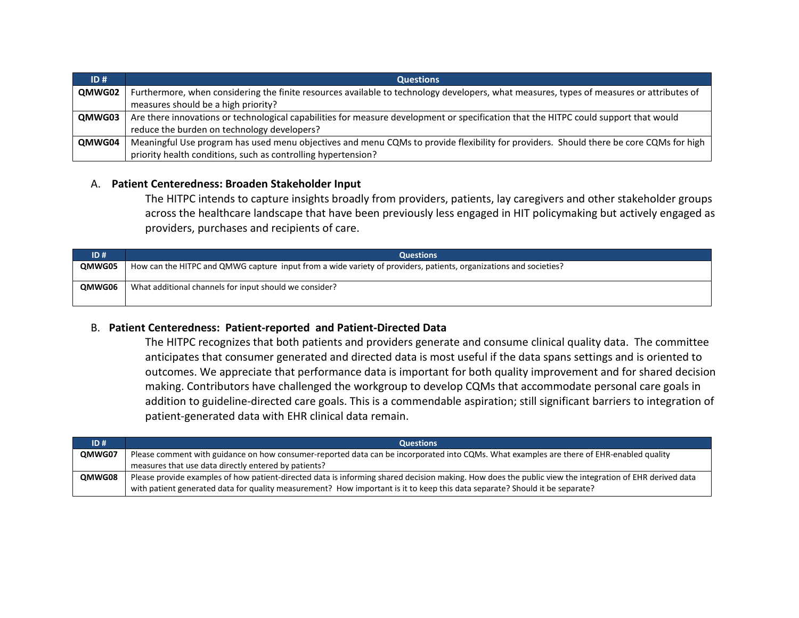| ID#    | <b>Questions</b>                                                                                                                         |
|--------|------------------------------------------------------------------------------------------------------------------------------------------|
| QMWG02 | Furthermore, when considering the finite resources available to technology developers, what measures, types of measures or attributes of |
|        | measures should be a high priority?                                                                                                      |
| QMWG03 | Are there innovations or technological capabilities for measure development or specification that the HITPC could support that would     |
|        | reduce the burden on technology developers?                                                                                              |
| QMWG04 | Meaningful Use program has used menu objectives and menu CQMs to provide flexibility for providers. Should there be core CQMs for high   |
|        | priority health conditions, such as controlling hypertension?                                                                            |

#### A. **Patient Centeredness: Broaden Stakeholder Input**

The HITPC intends to capture insights broadly from providers, patients, lay caregivers and other stakeholder groups across the healthcare landscape that have been previously less engaged in HIT policymaking but actively engaged as providers, purchases and recipients of care.

| ID#    | <b>Questions</b>                                                                                                  |
|--------|-------------------------------------------------------------------------------------------------------------------|
| QMWG05 | How can the HITPC and QMWG capture input from a wide variety of providers, patients, organizations and societies? |
|        |                                                                                                                   |
| QMWG06 | What additional channels for input should we consider?                                                            |
|        |                                                                                                                   |

### B. **Patient Centeredness: Patient-reported and Patient-Directed Data**

The HITPC recognizes that both patients and providers generate and consume clinical quality data. The committee anticipates that consumer generated and directed data is most useful if the data spans settings and is oriented to outcomes. We appreciate that performance data is important for both quality improvement and for shared decision making. Contributors have challenged the workgroup to develop CQMs that accommodate personal care goals in addition to guideline-directed care goals. This is a commendable aspiration; still significant barriers to integration of patient-generated data with EHR clinical data remain.

| ID#    | <b>Questions</b>                                                                                                                                       |
|--------|--------------------------------------------------------------------------------------------------------------------------------------------------------|
| QMWG07 | Please comment with guidance on how consumer-reported data can be incorporated into CQMs. What examples are there of EHR-enabled quality               |
|        | measures that use data directly entered by patients?                                                                                                   |
| QMWG08 | Please provide examples of how patient-directed data is informing shared decision making. How does the public view the integration of EHR derived data |
|        | with patient generated data for quality measurement? How important is it to keep this data separate? Should it be separate?                            |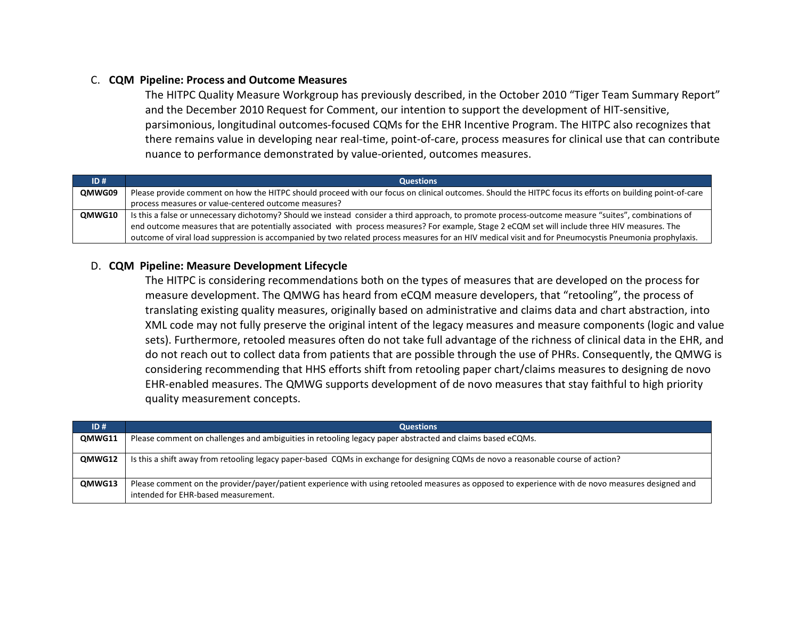## C. **CQM Pipeline: Process and Outcome Measures**

The HITPC Quality Measure Workgroup has previously described, in the October 2010 "Tiger Team Summary Report" and the December 2010 Request for Comment, our intention to support the development of HIT-sensitive, parsimonious, longitudinal outcomes-focused CQMs for the EHR Incentive Program. The HITPC also recognizes that there remains value in developing near real-time, point-of-care, process measures for clinical use that can contribute nuance to performance demonstrated by value-oriented, outcomes measures.

| ID#    | <b>Questions</b>                                                                                                                                         |
|--------|----------------------------------------------------------------------------------------------------------------------------------------------------------|
| QMWG09 | Please provide comment on how the HITPC should proceed with our focus on clinical outcomes. Should the HITPC focus its efforts on building point-of-care |
|        | process measures or value-centered outcome measures?                                                                                                     |
| QMWG10 | Is this a false or unnecessary dichotomy? Should we instead consider a third approach, to promote process-outcome measure "suites", combinations of      |
|        | end outcome measures that are potentially associated with process measures? For example, Stage 2 eCQM set will include three HIV measures. The           |
|        | outcome of viral load suppression is accompanied by two related process measures for an HIV medical visit and for Pneumocystis Pneumonia prophylaxis.    |

#### D. **CQM Pipeline: Measure Development Lifecycle**

The HITPC is considering recommendations both on the types of measures that are developed on the process for measure development. The QMWG has heard from eCQM measure developers, that "retooling", the process of translating existing quality measures, originally based on administrative and claims data and chart abstraction, into XML code may not fully preserve the original intent of the legacy measures and measure components (logic and value sets). Furthermore, retooled measures often do not take full advantage of the richness of clinical data in the EHR, and do not reach out to collect data from patients that are possible through the use of PHRs. Consequently, the QMWG is considering recommending that HHS efforts shift from retooling paper chart/claims measures to designing de novo EHR-enabled measures. The QMWG supports development of de novo measures that stay faithful to high priority quality measurement concepts.

| ID#           | <b>Questions</b>                                                                                                                                                                        |
|---------------|-----------------------------------------------------------------------------------------------------------------------------------------------------------------------------------------|
| <b>OMWG11</b> | Please comment on challenges and ambiguities in retooling legacy paper abstracted and claims based eCQMs.                                                                               |
| QMWG12        | Is this a shift away from retooling legacy paper-based CQMs in exchange for designing CQMs de novo a reasonable course of action?                                                       |
| QMWG13        | Please comment on the provider/payer/patient experience with using retooled measures as opposed to experience with de novo measures designed and<br>intended for EHR-based measurement. |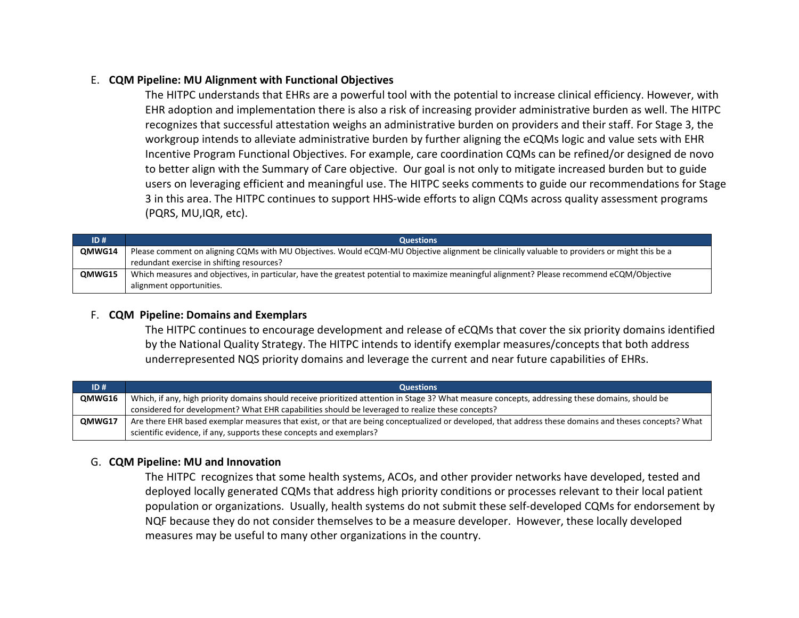# E. **CQM Pipeline: MU Alignment with Functional Objectives**

The HITPC understands that EHRs are a powerful tool with the potential to increase clinical efficiency. However, with EHR adoption and implementation there is also a risk of increasing provider administrative burden as well. The HITPC recognizes that successful attestation weighs an administrative burden on providers and their staff. For Stage 3, the workgroup intends to alleviate administrative burden by further aligning the eCQMs logic and value sets with EHR Incentive Program Functional Objectives. For example, care coordination CQMs can be refined/or designed de novo to better align with the Summary of Care objective. Our goal is not only to mitigate increased burden but to guide users on leveraging efficient and meaningful use. The HITPC seeks comments to guide our recommendations for Stage 3 in this area. The HITPC continues to support HHS-wide efforts to align CQMs across quality assessment programs (PQRS, MU,IQR, etc).

| ID#    | <b>Questions</b>                                                                                                                             |
|--------|----------------------------------------------------------------------------------------------------------------------------------------------|
| OMWG14 | Please comment on aligning CQMs with MU Objectives. Would eCQM-MU Objective alignment be clinically valuable to providers or might this be a |
|        | redundant exercise in shifting resources?                                                                                                    |
| QMWG15 | Which measures and objectives, in particular, have the greatest potential to maximize meaningful alignment? Please recommend eCQM/Objective  |
|        | alignment opportunities.                                                                                                                     |

## F. **CQM Pipeline: Domains and Exemplars**

The HITPC continues to encourage development and release of eCQMs that cover the six priority domains identified by the National Quality Strategy. The HITPC intends to identify exemplar measures/concepts that both address underrepresented NQS priority domains and leverage the current and near future capabilities of EHRs.

| ID#           | <b>Questions</b>                                                                                                                                      |
|---------------|-------------------------------------------------------------------------------------------------------------------------------------------------------|
| <b>OMWG16</b> | Which, if any, high priority domains should receive prioritized attention in Stage 3? What measure concepts, addressing these domains, should be      |
|               | considered for development? What EHR capabilities should be leveraged to realize these concepts?                                                      |
| QMWG17        | Are there EHR based exemplar measures that exist, or that are being conceptualized or developed, that address these domains and theses concepts? What |
|               | scientific evidence, if any, supports these concepts and exemplars?                                                                                   |

# G. **CQM Pipeline: MU and Innovation**

The HITPC recognizes that some health systems, ACOs, and other provider networks have developed, tested and deployed locally generated CQMs that address high priority conditions or processes relevant to their local patient population or organizations. Usually, health systems do not submit these self-developed CQMs for endorsement by NQF because they do not consider themselves to be a measure developer. However, these locally developed measures may be useful to many other organizations in the country.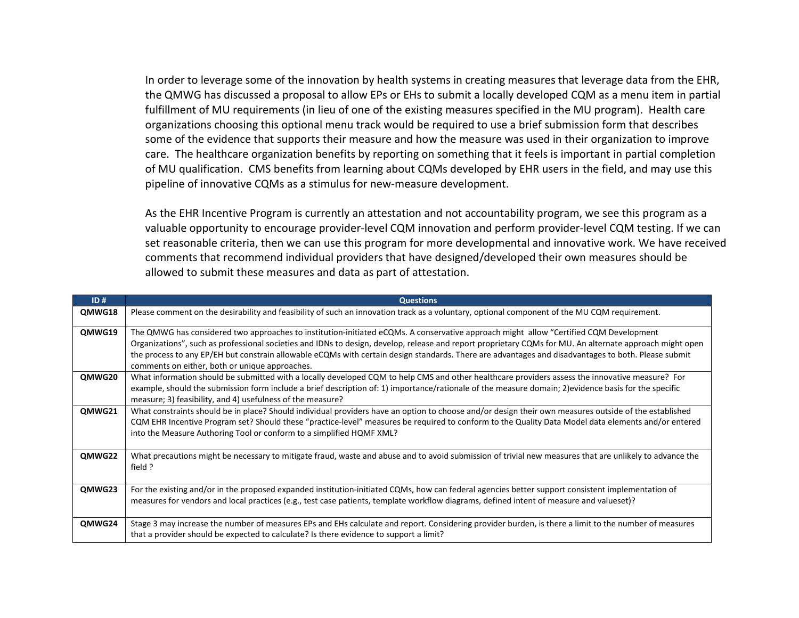In order to leverage some of the innovation by health systems in creating measures that leverage data from the EHR, the QMWG has discussed a proposal to allow EPs or EHs to submit a locally developed CQM as a menu item in partial fulfillment of MU requirements (in lieu of one of the existing measures specified in the MU program). Health care organizations choosing this optional menu track would be required to use a brief submission form that describes some of the evidence that supports their measure and how the measure was used in their organization to improve care. The healthcare organization benefits by reporting on something that it feels is important in partial completion of MU qualification. CMS benefits from learning about CQMs developed by EHR users in the field, and may use this pipeline of innovative CQMs as a stimulus for new-measure development.

As the EHR Incentive Program is currently an attestation and not accountability program, we see this program as a valuable opportunity to encourage provider-level CQM innovation and perform provider-level CQM testing. If we can set reasonable criteria, then we can use this program for more developmental and innovative work. We have received comments that recommend individual providers that have designed/developed their own measures should be allowed to submit these measures and data as part of attestation.

| ID#    | <b>Questions</b>                                                                                                                                                                                                                                                                                                                                                                                                                                                                                           |
|--------|------------------------------------------------------------------------------------------------------------------------------------------------------------------------------------------------------------------------------------------------------------------------------------------------------------------------------------------------------------------------------------------------------------------------------------------------------------------------------------------------------------|
| QMWG18 | Please comment on the desirability and feasibility of such an innovation track as a voluntary, optional component of the MU CQM requirement.                                                                                                                                                                                                                                                                                                                                                               |
| QMWG19 | The QMWG has considered two approaches to institution-initiated eCQMs. A conservative approach might allow "Certified CQM Development<br>Organizations", such as professional societies and IDNs to design, develop, release and report proprietary CQMs for MU. An alternate approach might open<br>the process to any EP/EH but constrain allowable eCQMs with certain design standards. There are advantages and disadvantages to both. Please submit<br>comments on either, both or unique approaches. |
| QMWG20 | What information should be submitted with a locally developed CQM to help CMS and other healthcare providers assess the innovative measure? For<br>example, should the submission form include a brief description of: 1) importance/rationale of the measure domain; 2)evidence basis for the specific<br>measure; 3) feasibility, and 4) usefulness of the measure?                                                                                                                                      |
| QMWG21 | What constraints should be in place? Should individual providers have an option to choose and/or design their own measures outside of the established<br>CQM EHR Incentive Program set? Should these "practice-level" measures be required to conform to the Quality Data Model data elements and/or entered<br>into the Measure Authoring Tool or conform to a simplified HQMF XML?                                                                                                                       |
| QMWG22 | What precautions might be necessary to mitigate fraud, waste and abuse and to avoid submission of trivial new measures that are unlikely to advance the<br>field ?                                                                                                                                                                                                                                                                                                                                         |
| QMWG23 | For the existing and/or in the proposed expanded institution-initiated CQMs, how can federal agencies better support consistent implementation of<br>measures for vendors and local practices (e.g., test case patients, template workflow diagrams, defined intent of measure and valueset)?                                                                                                                                                                                                              |
| QMWG24 | Stage 3 may increase the number of measures EPs and EHs calculate and report. Considering provider burden, is there a limit to the number of measures<br>that a provider should be expected to calculate? Is there evidence to support a limit?                                                                                                                                                                                                                                                            |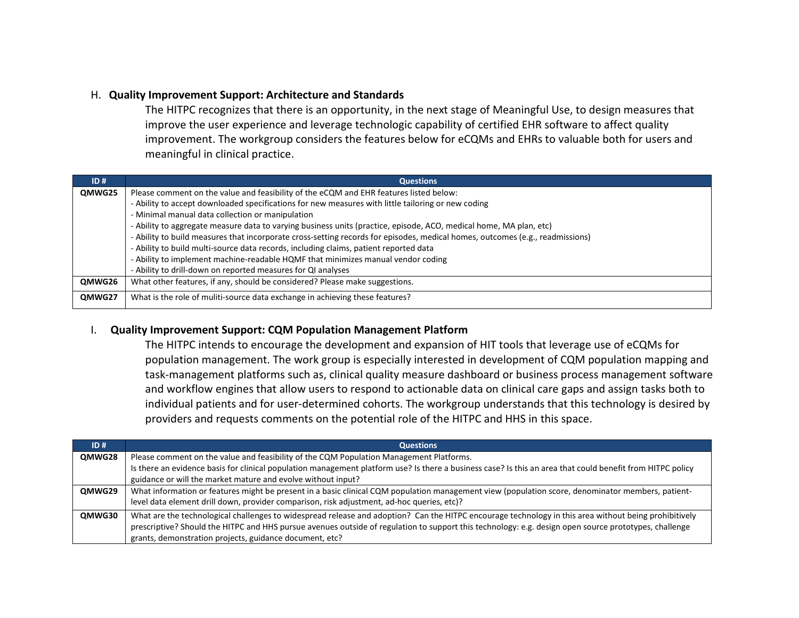#### H. **Quality Improvement Support: Architecture and Standards**

The HITPC recognizes that there is an opportunity, in the next stage of Meaningful Use, to design measures that improve the user experience and leverage technologic capability of certified EHR software to affect quality improvement. The workgroup considers the features below for eCQMs and EHRs to valuable both for users and meaningful in clinical practice.

| ID#    | <b>Questions</b>                                                                                                              |
|--------|-------------------------------------------------------------------------------------------------------------------------------|
| QMWG25 | Please comment on the value and feasibility of the eCQM and EHR features listed below:                                        |
|        | - Ability to accept downloaded specifications for new measures with little tailoring or new coding                            |
|        | - Minimal manual data collection or manipulation                                                                              |
|        | - Ability to aggregate measure data to varying business units (practice, episode, ACO, medical home, MA plan, etc)            |
|        | - Ability to build measures that incorporate cross-setting records for episodes, medical homes, outcomes (e.g., readmissions) |
|        | - Ability to build multi-source data records, including claims, patient reported data                                         |
|        | - Ability to implement machine-readable HQMF that minimizes manual vendor coding                                              |
|        | - Ability to drill-down on reported measures for QI analyses                                                                  |
| QMWG26 | What other features, if any, should be considered? Please make suggestions.                                                   |
| QMWG27 | What is the role of muliti-source data exchange in achieving these features?                                                  |

#### I. **Quality Improvement Support: CQM Population Management Platform**

The HITPC intends to encourage the development and expansion of HIT tools that leverage use of eCQMs for population management. The work group is especially interested in development of CQM population mapping and task-management platforms such as, clinical quality measure dashboard or business process management software and workflow engines that allow users to respond to actionable data on clinical care gaps and assign tasks both to individual patients and for user-determined cohorts. The workgroup understands that this technology is desired by providers and requests comments on the potential role of the HITPC and HHS in this space.

| ID#    | <b>Questions</b>                                                                                                                                           |
|--------|------------------------------------------------------------------------------------------------------------------------------------------------------------|
| QMWG28 | Please comment on the value and feasibility of the CQM Population Management Platforms.                                                                    |
|        | Is there an evidence basis for clinical population management platform use? Is there a business case? Is this an area that could benefit from HITPC policy |
|        | guidance or will the market mature and evolve without input?                                                                                               |
| QMWG29 | What information or features might be present in a basic clinical CQM population management view (population score, denominator members, patient-          |
|        | level data element drill down, provider comparison, risk adjustment, ad-hoc queries, etc)?                                                                 |
| QMWG30 | What are the technological challenges to widespread release and adoption? Can the HITPC encourage technology in this area without being prohibitively      |
|        | prescriptive? Should the HITPC and HHS pursue avenues outside of regulation to support this technology: e.g. design open source prototypes, challenge      |
|        | grants, demonstration projects, guidance document, etc?                                                                                                    |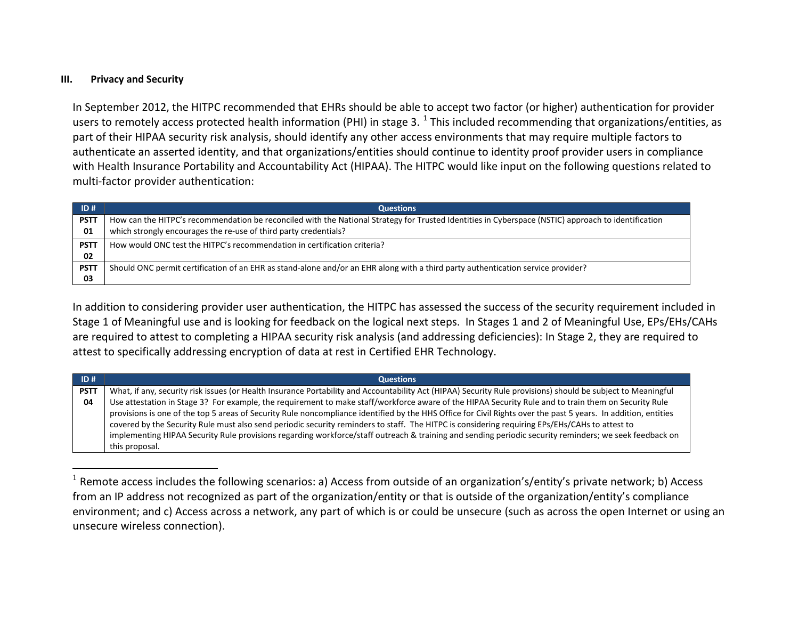#### <span id="page-35-0"></span>**III. Privacy and Security**

In September 2012, the HITPC recommended that EHRs should be able to accept two factor (or higher) authentication for provider users to remotely access protected health information (PHI) in stage 3.  $^1$  $^1$  This included recommending that organizations/entities, as part of their HIPAA security risk analysis, should identify any other access environments that may require multiple factors to authenticate an asserted identity, and that organizations/entities should continue to identity proof provider users in compliance with Health Insurance Portability and Accountability Act (HIPAA). The HITPC would like input on the following questions related to multi-factor provider authentication:

| ID#         | <b>Questions</b>                                                                                                                                    |
|-------------|-----------------------------------------------------------------------------------------------------------------------------------------------------|
| <b>PSTT</b> | How can the HITPC's recommendation be reconciled with the National Strategy for Trusted Identities in Cyberspace (NSTIC) approach to identification |
| 01          | which strongly encourages the re-use of third party credentials?                                                                                    |
| <b>PSTT</b> | How would ONC test the HITPC's recommendation in certification criteria?                                                                            |
| 02          |                                                                                                                                                     |
| <b>PSTT</b> | Should ONC permit certification of an EHR as stand-alone and/or an EHR along with a third party authentication service provider?                    |
| 03          |                                                                                                                                                     |

In addition to considering provider user authentication, the HITPC has assessed the success of the security requirement included in Stage 1 of Meaningful use and is looking for feedback on the logical next steps. In Stages 1 and 2 of Meaningful Use, EPs/EHs/CAHs are required to attest to completing a HIPAA security risk analysis (and addressing deficiencies): In Stage 2, they are required to attest to specifically addressing encryption of data at rest in Certified EHR Technology.

| ID#         | <b>Questions</b>                                                                                                                                               |
|-------------|----------------------------------------------------------------------------------------------------------------------------------------------------------------|
| <b>PSTT</b> | What, if any, security risk issues (or Health Insurance Portability and Accountability Act (HIPAA) Security Rule provisions) should be subject to Meaningful   |
| 04          | Use attestation in Stage 3? For example, the requirement to make staff/workforce aware of the HIPAA Security Rule and to train them on Security Rule           |
|             | provisions is one of the top 5 areas of Security Rule noncompliance identified by the HHS Office for Civil Rights over the past 5 years. In addition, entities |
|             | covered by the Security Rule must also send periodic security reminders to staff. The HITPC is considering requiring EPS/EHS/CAHs to attest to                 |
|             | implementing HIPAA Security Rule provisions regarding workforce/staff outreach & training and sending periodic security reminders; we seek feedback on         |
|             | this proposal.                                                                                                                                                 |

 $1$  Remote access includes the following scenarios: a) Access from outside of an organization's/entity's private network; b) Access from an IP address not recognized as part of the organization/entity or that is outside of the organization/entity's compliance environment; and c) Access across a network, any part of which is or could be unsecure (such as across the open Internet or using an unsecure wireless connection).